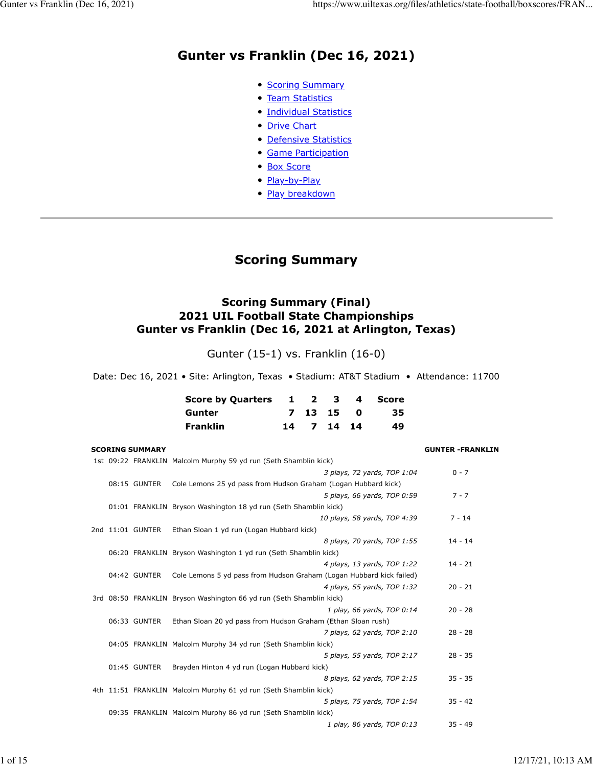## **Gunter vs Franklin (Dec 16, 2021)**

- **[Scoring Summary](https://www.uiltexas.org/files/athletics/state-football/boxscores/FRAN-GUN.HTM#GAME.SUM)**
- [Team Statistics](https://www.uiltexas.org/files/athletics/state-football/boxscores/FRAN-GUN.HTM#GAME.TEM)
- [Individual Statistics](https://www.uiltexas.org/files/athletics/state-football/boxscores/FRAN-GUN.HTM#GAME.IND)
- [Drive Chart](https://www.uiltexas.org/files/athletics/state-football/boxscores/FRAN-GUN.HTM#GAME.DRV)
- [Defensive Statistics](https://www.uiltexas.org/files/athletics/state-football/boxscores/FRAN-GUN.HTM#GAME.DEF)
- [Game Participation](https://www.uiltexas.org/files/athletics/state-football/boxscores/FRAN-GUN.HTM#GAME.PRE)
- [Box Score](https://www.uiltexas.org/files/athletics/state-football/boxscores/FRAN-GUN.HTM#GAME.NEW)
- [Play-by-Play](https://www.uiltexas.org/files/athletics/state-football/boxscores/FRAN-GUN.HTM#GAME.PLY)
- **[Play breakdown](https://www.uiltexas.org/files/athletics/state-football/boxscores/FRAN-GUN.HTM#GAME.SCO)**

## **Scoring Summary**

#### **Scoring Summary (Final) 2021 UIL Football State Championships Gunter vs Franklin (Dec 16, 2021 at Arlington, Texas)**

Gunter (15-1) vs. Franklin (16-0)

Date: Dec 16, 2021 • Site: Arlington, Texas • Stadium: AT&T Stadium • Attendance: 11700

| Score by Quarters 1 2 3 4 Score |  |            |      |
|---------------------------------|--|------------|------|
| Gunter                          |  | 7 13 15 0  | -35- |
| Franklin                        |  | 14 7 14 14 | 49.  |

#### **SCORING SUMMARY GUNTER -FRANKLIN**

|  |                  | 1st 09:22 FRANKLIN Malcolm Murphy 59 yd run (Seth Shamblin kick)     |           |
|--|------------------|----------------------------------------------------------------------|-----------|
|  |                  | 3 plays, 72 yards, TOP 1:04                                          | $0 - 7$   |
|  | 08:15 GUNTER     | Cole Lemons 25 yd pass from Hudson Graham (Logan Hubbard kick)       |           |
|  |                  | 5 plays, 66 yards, TOP 0:59                                          | $7 - 7$   |
|  |                  | 01:01 FRANKLIN Bryson Washington 18 yd run (Seth Shamblin kick)      |           |
|  |                  | 10 plays, 58 yards, TOP 4:39                                         | $7 - 14$  |
|  | 2nd 11:01 GUNTER | Ethan Sloan 1 yd run (Logan Hubbard kick)                            |           |
|  |                  | 8 plays, 70 yards, TOP 1:55                                          | $14 - 14$ |
|  |                  | 06:20 FRANKLIN Bryson Washington 1 yd run (Seth Shamblin kick)       |           |
|  |                  | 4 plays, 13 yards, TOP 1:22                                          | $14 - 21$ |
|  | 04:42 GUNTER     | Cole Lemons 5 yd pass from Hudson Graham (Logan Hubbard kick failed) |           |
|  |                  | 4 plays, 55 yards, TOP 1:32                                          | $20 - 21$ |
|  |                  | 3rd 08:50 FRANKLIN Bryson Washington 66 yd run (Seth Shamblin kick)  |           |
|  |                  | 1 play, 66 yards, TOP 0:14                                           | $20 - 28$ |
|  | 06:33 GUNTER     | Ethan Sloan 20 yd pass from Hudson Graham (Ethan Sloan rush)         |           |
|  |                  | 7 plays, 62 yards, TOP 2:10                                          | $28 - 28$ |
|  |                  | 04:05 FRANKLIN Malcolm Murphy 34 yd run (Seth Shamblin kick)         |           |
|  |                  | 5 plays, 55 yards, TOP 2:17                                          | $28 - 35$ |
|  | 01:45 GUNTER     | Brayden Hinton 4 yd run (Logan Hubbard kick)                         |           |
|  |                  | 8 plays, 62 yards, TOP 2:15                                          | $35 - 35$ |
|  |                  | 4th 11:51 FRANKLIN Malcolm Murphy 61 yd run (Seth Shamblin kick)     |           |
|  |                  | 5 plays, 75 yards, TOP 1:54                                          | $35 - 42$ |
|  |                  | 09:35 FRANKLIN Malcolm Murphy 86 yd run (Seth Shamblin kick)         |           |
|  |                  | 1 play, 86 yards, TOP 0:13                                           | $35 - 49$ |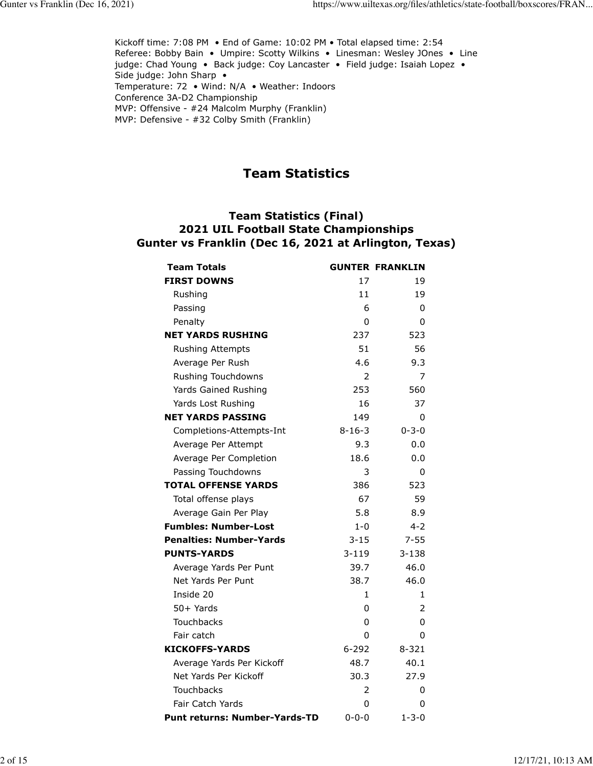Kickoff time: 7:08 PM • End of Game: 10:02 PM • Total elapsed time: 2:54 Referee: Bobby Bain • Umpire: Scotty Wilkins • Linesman: Wesley JOnes • Line judge: Chad Young • Back judge: Coy Lancaster • Field judge: Isaiah Lopez • Side judge: John Sharp • Temperature: 72 • Wind: N/A • Weather: Indoors Conference 3A-D2 Championship MVP: Offensive - #24 Malcolm Murphy (Franklin) MVP: Defensive - #32 Colby Smith (Franklin)

## **Team Statistics**

#### **Team Statistics (Final) 2021 UIL Football State Championships Gunter vs Franklin (Dec 16, 2021 at Arlington, Texas)**

| <b>Team Totals</b>             |               | <b>GUNTER FRANKLIN</b> |
|--------------------------------|---------------|------------------------|
| <b>FIRST DOWNS</b>             | 17            | 19                     |
| Rushing                        | 11            | 19                     |
| Passing                        | 6             | 0                      |
| Penalty                        | 0             | 0                      |
| <b>NET YARDS RUSHING</b>       | 237           | 523                    |
| Rushing Attempts               | 51            | 56                     |
| Average Per Rush               | 4.6           | 9.3                    |
| Rushing Touchdowns             | $\mathcal{P}$ | 7                      |
| Yards Gained Rushing           | 253           | 560                    |
| Yards Lost Rushing             | 16            | 37                     |
| <b>NET YARDS PASSING</b>       | 149           | 0                      |
| Completions-Attempts-Int       | $8 - 16 - 3$  | $0 - 3 - 0$            |
| Average Per Attempt            | 9.3           | 0.0                    |
| Average Per Completion         | 18.6          | 0.0                    |
| Passing Touchdowns             | 3             | 0                      |
| <b>TOTAL OFFENSE YARDS</b>     | 386           | 523                    |
| Total offense plays            | 67            | 59                     |
| Average Gain Per Play          | 5.8           | 8.9                    |
| <b>Fumbles: Number-Lost</b>    | $1-0$         | $4 - 2$                |
| <b>Penalties: Number-Yards</b> | $3 - 15$      | $7 - 55$               |
| <b>PUNTS-YARDS</b>             | $3 - 119$     | $3 - 138$              |
| Average Yards Per Punt         | 39.7          | 46.0                   |
| Net Yards Per Punt             | 38.7          | 46.0                   |
| Inside 20                      | 1             | 1                      |
| 50+ Yards                      | 0             | 2                      |
| <b>Touchbacks</b>              | 0             | 0                      |
| Fair catch                     | 0             | 0                      |
| <b>KICKOFFS-YARDS</b>          | $6 - 292$     | $8 - 321$              |
| Average Yards Per Kickoff      | 48.7          | 40.1                   |
| Net Yards Per Kickoff          | 30.3          | 27.9                   |
| Touchbacks                     | 2             | 0                      |
| Fair Catch Yards               | 0             | 0                      |
| Punt returns: Number-Yards-TD  | $0 - 0 - 0$   | $1 - 3 - 0$            |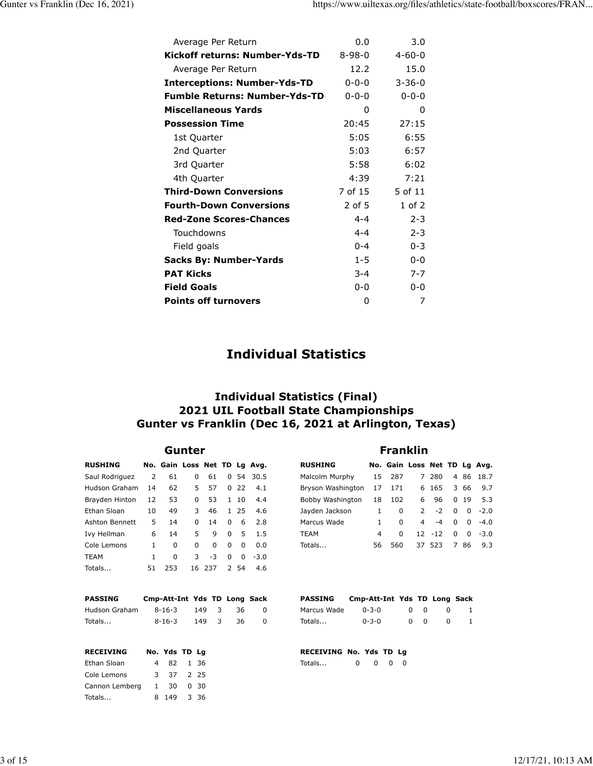| Average Per Return                   | 0.0          | 3.0          |
|--------------------------------------|--------------|--------------|
| Kickoff returns: Number-Yds-TD       | $8 - 98 - 0$ | $4 - 60 - 0$ |
| Average Per Return                   | 12.2         | 15.0         |
| <b>Interceptions: Number-Yds-TD</b>  | $0 - 0 - 0$  | $3 - 36 - 0$ |
| <b>Fumble Returns: Number-Yds-TD</b> | $0 - 0 - 0$  | $0 - 0 - 0$  |
| <b>Miscellaneous Yards</b>           | 0            | 0            |
| <b>Possession Time</b>               | 20:45        | 27:15        |
| 1st Quarter                          | 5:05         | 6:55         |
| 2nd Quarter                          | 5:03         | 6:57         |
| 3rd Quarter                          | 5:58         | 6:02         |
| 4th Quarter                          | 4:39         | 7:21         |
| <b>Third-Down Conversions</b>        | 7 of 15      | 5 of 11      |
| <b>Fourth-Down Conversions</b>       | $2$ of 5     | $1$ of $2$   |
| <b>Red-Zone Scores-Chances</b>       | $4 - 4$      | $2 - 3$      |
| Touchdowns                           | $4 - 4$      | $2 - 3$      |
| Field goals                          | $0 - 4$      | $0 - 3$      |
| <b>Sacks By: Number-Yards</b>        | $1 - 5$      | $0 - 0$      |
| <b>PAT Kicks</b>                     | $3 - 4$      | $7 - 7$      |
| <b>Field Goals</b>                   | $0 - 0$      | $0 - 0$      |
| <b>Points off turnovers</b>          | 0            | 7            |

## **Individual Statistics**

#### **Individual Statistics (Final) 2021 UIL Football State Championships Gunter vs Franklin (Dec 16, 2021 at Arlington, Texas)**

#### **Gunter Franklin**

| <b>RUSHING</b> |    | No. Gain Loss Net TD Lg Avg. |              |        |   |              |        |
|----------------|----|------------------------------|--------------|--------|---|--------------|--------|
| Saul Rodriguez | 2  | 61                           | 0            | 61     |   | 0.54         | 30.5   |
| Hudson Graham  | 14 | 62                           | 5            | 57     |   | 0. 22        | 4.1    |
| Brayden Hinton | 12 | 53                           | O            | 53     |   | $1 \quad 10$ | 4.4    |
| Ethan Sloan    | 10 | 49                           | 3            | 46     |   | 1 25         | 4.6    |
| Ashton Bennett | 5  | 14                           | <sup>0</sup> | 14     | 0 | 6            | 2.8    |
| Ivy Hellman    | 6  | 14                           | 5            | q      | 0 | 5            | 1.5    |
| Cole Lemons    | 1  | 0                            | <sup>0</sup> | 0      | 0 | $\Omega$     | 0.0    |
| <b>TEAM</b>    | 1  | 0                            | 3            | -3     | 0 | 0            | $-3.0$ |
| Totals         | 51 | 253                          |              | 16 237 |   | 2 54         | 4.6    |

**PASSING Cmp-Att-Int Yds TD Long Sack**  Hudson Graham 8-16-3 149 3 36 0 Totals... 8-16-3 149 3 36 0

| <b>RUSHING</b> |  | No. Gain Loss Net TD Lg Avg. |  |  |
|----------------|--|------------------------------|--|--|

| Malcolm Murphy    | 15           | 287 |   | 7 280      |          |       | 4 86 18.7              |
|-------------------|--------------|-----|---|------------|----------|-------|------------------------|
| Bryson Washington | 17           | 171 |   | 6 165 3 66 |          |       | 9.7                    |
| Bobby Washington  | 18           | 102 | 6 | 96         |          | 0, 19 | 5.3                    |
| Jayden Jackson    | $\mathbf{1}$ | 0   |   | $2 -2$     |          |       | $0 \t 0 \t -2.0$       |
| Marcus Wade       | 1            | 0   |   | $4 - 4$    |          |       | $0 \quad 0 \quad -4.0$ |
| TEAM              | 4            | 0   |   | $12 - 12$  | $\Omega$ |       | $0 - 3.0$              |
| Totals            | 56           | 560 |   | 37 523     | 786      |       | 9.3                    |

| <b>PASSING</b> | Cmp-Att-Int Yds TD Long Sack |    |        |              |  |
|----------------|------------------------------|----|--------|--------------|--|
| Marcus Wade    | $0 - 3 - 0$                  |    | n n    | $\mathbf{r}$ |  |
| Totals         | $0 - 3 - 0$                  | n. | $\cap$ | $^{\prime}$  |  |

| <b>RECEIVING</b> | No. Yds TD Lg |  |
|------------------|---------------|--|
| Ethan Sloan      | 4 82 1 36     |  |
| Cole Lemons      | 3 37 2 25     |  |
| Cannon Lemberg   | 1 30 0 30     |  |
| Totals           | 8 149 3 36    |  |

| RECEIVING No. Yds TD La |  |       |  |
|-------------------------|--|-------|--|
| Totals                  |  | 0 0 0 |  |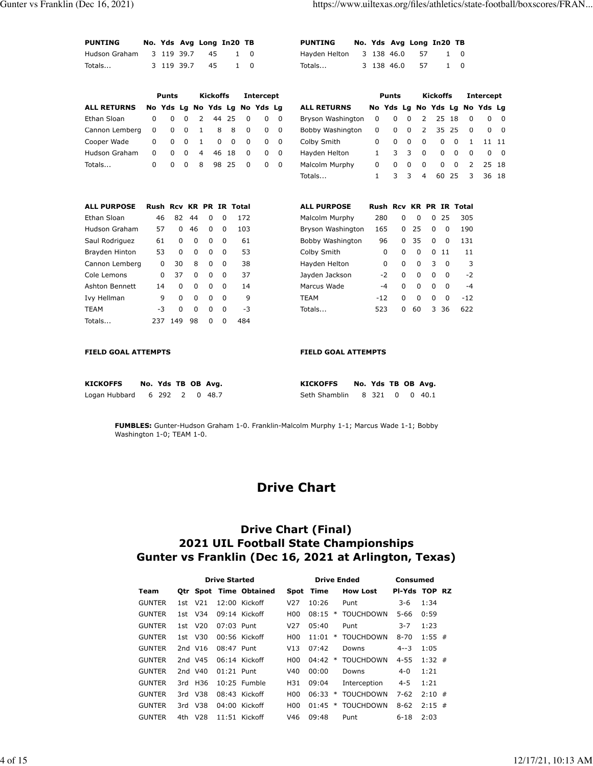| <b>PUNTING</b> |  |            | No. Yds Avg Long In20 TB |     |  |
|----------------|--|------------|--------------------------|-----|--|
| Hudson Graham  |  |            | 3 119 39.7 45            | 1 O |  |
| Totals         |  | 3 119 39.7 | 45                       |     |  |

| PUNTING                  |  |            | No. Yds Avg Long In20 TB |          |  |
|--------------------------|--|------------|--------------------------|----------|--|
| Hayden Helton 3 138 46.0 |  |            | 57                       | 1 O      |  |
| Totals                   |  | 3 138 46.0 | 57                       | $\Omega$ |  |

|                    |     | <b>Punts</b>        |             |          | <b>Kickoffs</b> |          |                         | <b>Intercept</b> |   |                    |                               | <b>Punts</b> |          |                | <b>Kickoffs</b> |             |          | Intercept   |                         |
|--------------------|-----|---------------------|-------------|----------|-----------------|----------|-------------------------|------------------|---|--------------------|-------------------------------|--------------|----------|----------------|-----------------|-------------|----------|-------------|-------------------------|
| <b>ALL RETURNS</b> |     | No Yds Lg No Yds Lg |             |          |                 |          |                         | No Yds La        |   | <b>ALL RETURNS</b> | No Yds Lg No Yds Lg No Yds Lg |              |          |                |                 |             |          |             |                         |
| Ethan Sloan        | 0   | 0                   | 0           | 2        | 44              | 25       | 0                       | 0                | 0 | Bryson Washington  | 0                             | 0            | 0        | 2              | 25              | 18          | 0        | 0           | - 0                     |
| Cannon Lemberg     | 0   | 0                   | 0           | 1        |                 | 8        | 8<br>0                  | 0                | 0 | Bobby Washington   | 0                             | 0            | 0        | $\overline{2}$ | 35              | 25          | $\Omega$ | 0           | - 0                     |
| Cooper Wade        | 0   | $\Omega$            | $\Omega$    | 1        |                 | 0        | 0<br>$\Omega$           | 0                | 0 | Colby Smith        | 0                             | 0            | $\Omega$ | 0              | 0               | $\Omega$    | 1        |             | 11 11                   |
| Hudson Graham      | 0   | $\Omega$            | $\Omega$    | 4        | 46              | 18       | $\Omega$                | 0                | 0 | Hayden Helton      | $\mathbf{1}$                  | 3            | 3        | 0              | $\mathbf 0$     | $\Omega$    | 0        | $\mathbf 0$ | $\overline{\mathbf{0}}$ |
| Totals             | 0   | $\Omega$            | $\Omega$    | 8        | 98              | 25       | $\Omega$                | 0                | 0 | Malcolm Murphy     | 0                             | 0            | $\Omega$ | $\Omega$       | $\Omega$        | $\Omega$    | 2        |             | 25 18                   |
|                    |     |                     |             |          |                 |          |                         |                  |   | Totals             | 1                             | 3            | 3        | 4              | 60              | 25          | 3        | 36          | 18                      |
| <b>ALL PURPOSE</b> |     |                     |             |          |                 |          | Rush Rcv KR PR IR Total |                  |   | <b>ALL PURPOSE</b> | Rush Rcv KR PR IR Total       |              |          |                |                 |             |          |             |                         |
| Ethan Sloan        |     | 46                  | 82          | 44       | 0               | 0        | 172                     |                  |   | Malcolm Murphy     | 280                           | 0            |          | 0              | 25<br>$\Omega$  |             | 305      |             |                         |
| Hudson Graham      |     | 57                  | $\Omega$    | 46       | $\Omega$        | $\Omega$ | 103                     |                  |   | Bryson Washington  | 165                           | $\Omega$     |          | 25             | $\Omega$        | 0           | 190      |             |                         |
| Saul Rodriguez     |     | 61                  | $\Omega$    | 0        | 0               | 0        | 61                      |                  |   | Bobby Washington   | 96                            | 0            |          | 35             | 0<br>0          |             | 131      |             |                         |
| Brayden Hinton     |     | 53                  | $\Omega$    | 0        | 0               | 0        | 53                      |                  |   | Colby Smith        | 0                             | $\Omega$     |          | 0              | $\Omega$<br>-11 |             | 11       |             |                         |
| Cannon Lemberg     |     | 0                   | 30          | 8        | 0               | 0        | 38                      |                  |   | Hayden Helton      | 0                             | 0            |          | 0              | 3               | 0           | 3        |             |                         |
| Cole Lemons        |     | 0                   | 37          | $\Omega$ | 0               | $\Omega$ | 37                      |                  |   | Jayden Jackson     | $-2$                          | $\mathbf 0$  |          | 0              | $\Omega$        | $\mathbf 0$ | $-2$     |             |                         |
| Ashton Bennett     |     | 14                  | $\mathbf 0$ | $\Omega$ | 0               | 0        | 14                      |                  |   | Marcus Wade        | $-4$                          | 0            |          | 0              | 0               | $\mathbf 0$ | $-4$     |             |                         |
| Ivy Hellman        |     | 9                   | 0           | 0        | 0               | $\Omega$ | 9                       |                  |   | <b>TEAM</b>        | $-12$                         | 0            |          | $\Omega$       | 0               | 0           | $-12$    |             |                         |
| <b>TEAM</b>        |     | $-3$                | 0           | 0        | 0               | 0        | $-3$                    |                  |   | Totals             | 523                           | 0            |          | 60             | 36<br>3         |             | 622      |             |                         |
| Totals             | 237 |                     | 149         | 98       | $\Omega$        | $\Omega$ | 484                     |                  |   |                    |                               |              |          |                |                 |             |          |             |                         |

**FIELD GOAL ATTEMPTS FIELD GOAL ATTEMPTS** 

| <b>KICKOFFS</b>              |  |  | No. Yds TB OB Avg. | KICKOFFS                     |  |  | No. Yds TB OB Avg. |
|------------------------------|--|--|--------------------|------------------------------|--|--|--------------------|
| Logan Hubbard 6 292 2 0 48.7 |  |  |                    | Seth Shamblin 8 321 0 0 40.1 |  |  |                    |

**FUMBLES:** Gunter-Hudson Graham 1-0. Franklin-Malcolm Murphy 1-1; Marcus Wade 1-1; Bobby Washington 1-0; TEAM 1-0.

## **Drive Chart**

#### **Drive Chart (Final) 2021 UIL Football State Championships Gunter vs Franklin (Dec 16, 2021 at Arlington, Texas)**

|               |      |                 | <b>Drive Started</b> |                        |                 | <b>Drive Ended</b> |                  | Consumed |               |
|---------------|------|-----------------|----------------------|------------------------|-----------------|--------------------|------------------|----------|---------------|
| Team          |      |                 |                      | Otr Spot Time Obtained |                 | Spot Time          | <b>How Lost</b>  |          | PI-Yds TOP RZ |
| <b>GUNTER</b> | 1st  | V <sub>21</sub> |                      | $12:00$ Kickoff        | V <sub>27</sub> | 10:26              | Punt             | 3-6      | 1:34          |
| <b>GUNTER</b> |      | 1st V34         |                      | $09:14$ Kickoff        | H <sub>0</sub>  | 08:15<br>$\ast$    | <b>TOUCHDOWN</b> | 5-66     | 0:59          |
| <b>GUNTER</b> |      | 1st V20         | $07:03$ Punt         |                        | V <sub>27</sub> | 05:40              | Punt             | $3 - 7$  | 1:23          |
| <b>GUNTER</b> |      | 1st V30         |                      | $00:56$ Kickoff        | H <sub>0</sub>  | 11:01<br>$\ast$    | <b>TOUCHDOWN</b> | $8 - 70$ | $1:55$ #      |
| <b>GUNTER</b> |      | 2nd V16         | 08:47 Punt           |                        | V13             | 07:42              | Downs            | $4 - 3$  | 1:05          |
| <b>GUNTER</b> |      | 2nd V45         |                      | 06:14 Kickoff          | H <sub>00</sub> | 04:42<br>∗         | <b>TOUCHDOWN</b> | $4 - 55$ | $1:32$ #      |
| <b>GUNTER</b> |      | 2nd V40         | $01:21$ Punt         |                        | V40             | 00:00              | Downs            | $4 - 0$  | 1:21          |
| <b>GUNTER</b> | 3rd. | H36             |                      | $10:25$ Fumble         | H31             | 09:04              | Interception     | $4 - 5$  | 1:21          |
| <b>GUNTER</b> | 3rd. | V38             |                      | 08:43 Kickoff          | H <sub>0</sub>  | 06:33<br>∗         | <b>TOUCHDOWN</b> | $7-62$   | $2:10$ #      |
| <b>GUNTER</b> | 3rd. | V38             |                      | 04:00 Kickoff          | H <sub>0</sub>  | 01:45<br>$\ast$    | <b>TOUCHDOWN</b> | $8 - 62$ | $2:15$ #      |
| <b>GUNTER</b> | 4th. | V <sub>28</sub> |                      | $11:51$ Kickoff        | V46             | 09:48              | Punt             | $6 - 18$ | 2:03          |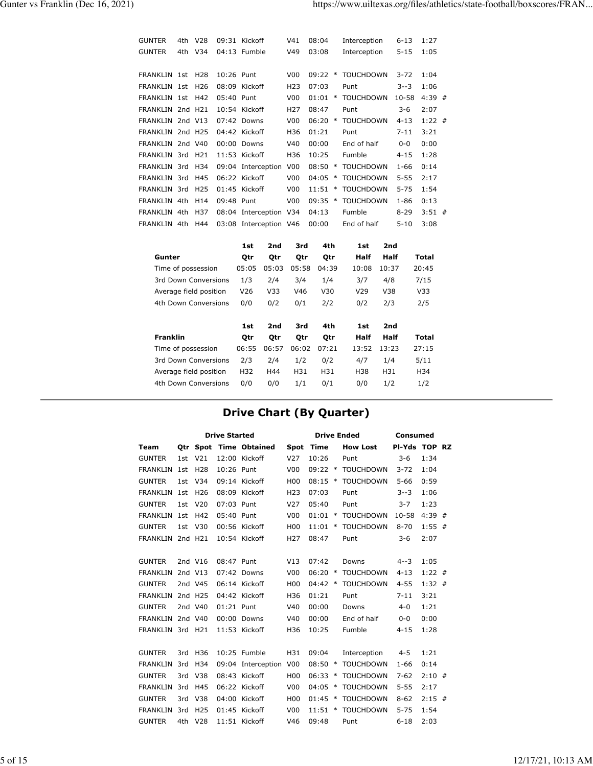| <b>GUNTER</b>    | 4th V28 |            | 09:31 Kickoff          | V41              | 08:04     |        | Interception     | $6 - 13$  | 1:27     |  |
|------------------|---------|------------|------------------------|------------------|-----------|--------|------------------|-----------|----------|--|
| <b>GUNTER</b>    | 4th V34 |            | 04:13 Fumble           | V49              | 03:08     |        | Interception     | $5 - 15$  | 1:05     |  |
|                  |         |            |                        |                  |           |        |                  |           |          |  |
| FRANKLIN 1st H28 |         | 10:26 Punt |                        | V <sub>0</sub> 0 | 09:22     | $\ast$ | <b>TOUCHDOWN</b> | $3 - 72$  | 1:04     |  |
| FRANKLIN 1st H26 |         |            | 08:09 Kickoff          | H <sub>23</sub>  | 07:03     |        | Punt             | $3 - 3$   | 1:06     |  |
| FRANKLIN 1st H42 |         | 05:40 Punt |                        | V00              | 01:01     | $\ast$ | <b>TOUCHDOWN</b> | $10 - 58$ | $4:39$ # |  |
| FRANKLIN 2nd H21 |         |            | $10:54$ Kickoff        | H <sub>27</sub>  | 08:47     |        | Punt             | $3 - 6$   | 2:07     |  |
| FRANKLIN 2nd V13 |         |            | 07:42 Downs            | V <sub>00</sub>  | 06:20     | $\ast$ | <b>TOUCHDOWN</b> | $4 - 13$  | $1:22$ # |  |
| FRANKLIN 2nd H25 |         |            | 04:42 Kickoff          | H36              | 01:21     |        | Punt             | $7 - 11$  | 3:21     |  |
| FRANKLIN 2nd V40 |         |            | $00:00$ Downs          | V40              | 00:00     |        | End of half      | $0-0$     | 0:00     |  |
| FRANKLIN 3rd H21 |         |            | $11:53$ Kickoff        | H36              | 10:25     |        | Fumble           | $4 - 15$  | 1:28     |  |
| FRANKLIN 3rd     | H34     |            | 09:04 Interception     | V <sub>0</sub>   | 08:50     | $\ast$ | <b>TOUCHDOWN</b> | $1 - 66$  | 0:14     |  |
| FRANKLIN 3rd     | H45     |            | 06:22 Kickoff          | V <sub>00</sub>  | 04:05     | $\ast$ | <b>TOUCHDOWN</b> | $5 - 55$  | 2:17     |  |
| FRANKLIN 3rd H25 |         |            | 01:45 Kickoff          | V <sub>00</sub>  | 11:51     | $\ast$ | <b>TOUCHDOWN</b> | $5 - 75$  | 1:54     |  |
| FRANKLIN 4th     | H14     | 09:48 Punt |                        | V <sub>00</sub>  | $09:35$ * |        | <b>TOUCHDOWN</b> | $1 - 86$  | 0:13     |  |
| FRANKLIN 4th     | H37     |            | 08:04 Interception V34 |                  | 04:13     |        | Fumble           | 8-29      | $3:51$ # |  |
| FRANKLIN 4th     | H44     |            | 03:08 Interception V46 |                  | 00:00     |        | End of half      | $5 - 10$  | 3:08     |  |

|                        | 1st   | 2nd             | 3rd   | 4th   | 1st             | 2nd   |                 |
|------------------------|-------|-----------------|-------|-------|-----------------|-------|-----------------|
| Gunter                 | Otr   | Otr             | Otr   | Otr   | Half            | Half  | Total           |
| Time of possession     | 05:05 | 05:03           | 05:58 | 04:39 | 10:08           | 10:37 | 20:45           |
| 3rd Down Conversions   | 1/3   | 2/4             | 3/4   | 1/4   | 3/7             | 4/8   | 7/15            |
| Average field position | V26   | V <sub>33</sub> | V46   | V30   | V <sub>29</sub> | V38   | V <sub>33</sub> |
| 4th Down Conversions   | 0/0   | 0/2             | 0/1   | 2/2   | 0/2             | 2/3   | 2/5             |
|                        |       |                 |       |       |                 |       |                 |
|                        |       |                 |       |       |                 |       |                 |
|                        | 1st   | 2nd             | 3rd   | 4th   | 1st             | 2nd   |                 |
| <b>Franklin</b>        | Otr   | Otr             | Otr   | Otr   | Half            | Half  | Total           |
| Time of possession     | 06:55 | 06:57           | 06:02 | 07:21 | 13:52           | 13:23 | 27:15           |
| 3rd Down Conversions   | 2/3   | 2/4             | 1/2   | 0/2   | 4/7             | 1/4   | 5/11            |
| Average field position | H32   | H44             | H31   | H31   | H38             | H31   | H34             |
| 4th Down Conversions   | 0/0   | 0/0             | 1/1   | 0/1   | 0/0             | 1/2   | 1/2             |

# **Drive Chart (By Quarter)**

|                  |     |                     | <b>Drive Started</b> |                        |                 |                 | <b>Drive Ended</b> | <b>Consumed</b> |          |  |
|------------------|-----|---------------------|----------------------|------------------------|-----------------|-----------------|--------------------|-----------------|----------|--|
| Team             |     |                     |                      | Otr Spot Time Obtained | <b>Spot</b>     | Time            | <b>How Lost</b>    | PI-Yds TOP RZ   |          |  |
| <b>GUNTER</b>    | 1st | V <sub>21</sub>     |                      | 12:00 Kickoff          | V <sub>27</sub> | 10:26           | Punt               | $3 - 6$         | 1:34     |  |
| FRANKLIN         | 1st | H <sub>28</sub>     | 10:26 Punt           |                        | V <sub>00</sub> | $09:22$ *       | <b>TOUCHDOWN</b>   | $3 - 72$        | 1:04     |  |
| <b>GUNTER</b>    | 1st | V34                 |                      | 09:14 Kickoff          | H <sub>00</sub> | $08:15$ *       | <b>TOUCHDOWN</b>   | $5 - 66$        | 0:59     |  |
| <b>FRANKLIN</b>  | 1st | H <sub>26</sub>     |                      | 08:09 Kickoff          | H <sub>23</sub> | 07:03           | Punt               | $3 - 3$         | 1:06     |  |
| <b>GUNTER</b>    | 1st | V <sub>20</sub>     | 07:03 Punt           |                        | V <sub>27</sub> | 05:40           | Punt               | $3 - 7$         | 1:23     |  |
| FRANKLIN         | 1st | H42                 | 05:40 Punt           |                        | V <sub>00</sub> | $01:01$ *       | <b>TOUCHDOWN</b>   | $10 - 58$       | $4:39$ # |  |
| <b>GUNTER</b>    | 1st | V30                 |                      | 00:56 Kickoff          | H <sub>00</sub> | 11:01<br>$\ast$ | <b>TOUCHDOWN</b>   | $8 - 70$        | $1:55$ # |  |
| <b>FRANKLIN</b>  |     | 2nd H <sub>21</sub> |                      | 10:54 Kickoff          | H <sub>27</sub> | 08:47           | Punt               | $3-6$           | 2:07     |  |
|                  |     |                     |                      |                        |                 |                 |                    |                 |          |  |
| <b>GUNTER</b>    |     | 2nd V16             | 08:47 Punt           |                        | V13             | 07:42           | Downs              | $4 - 3$         | 1:05     |  |
| FRANKLIN         |     | 2nd V13             |                      | 07:42 Downs            | V <sub>00</sub> | 06:20<br>$\ast$ | <b>TOUCHDOWN</b>   | $4 - 13$        | $1:22$ # |  |
| <b>GUNTER</b>    |     | 2nd V45             |                      | 06:14 Kickoff          | H <sub>00</sub> | $04:42$ *       | <b>TOUCHDOWN</b>   | $4 - 55$        | $1:32$ # |  |
| FRANKLIN         |     | 2nd H25             |                      | 04:42 Kickoff          | H36             | 01:21           | Punt               | $7 - 11$        | 3:21     |  |
| <b>GUNTER</b>    |     | 2nd V40             | $01:21$ Punt         |                        | V40             | 00:00           | Downs              | $4 - 0$         | 1:21     |  |
| FRANKLIN 2nd V40 |     |                     |                      | 00:00 Downs            | V40             | 00:00           | End of half        | $0 - 0$         | 0:00     |  |
| FRANKLIN 3rd H21 |     |                     |                      | 11:53 Kickoff          | H36             | 10:25           | Fumble             | $4 - 15$        | 1:28     |  |
|                  |     |                     |                      |                        |                 |                 |                    |                 |          |  |
| <b>GUNTER</b>    |     | 3rd H36             |                      | 10:25 Fumble           | H31             | 09:04           | Interception       | $4 - 5$         | 1:21     |  |
| <b>FRANKLIN</b>  | 3rd | H34                 |                      | 09:04 Interception     | V <sub>0</sub>  | 08:50<br>$\ast$ | <b>TOUCHDOWN</b>   | $1 - 66$        | 0:14     |  |
| <b>GUNTER</b>    |     | 3rd V38             |                      | 08:43 Kickoff          | H <sub>00</sub> | 06:33<br>$\ast$ | <b>TOUCHDOWN</b>   | $7 - 62$        | $2:10$ # |  |
| FRANKLIN         | 3rd | H45                 |                      | 06:22 Kickoff          | V <sub>00</sub> | 04:05<br>$\ast$ | <b>TOUCHDOWN</b>   | $5 - 55$        | 2:17     |  |
| <b>GUNTER</b>    |     | 3rd V38             |                      | 04:00 Kickoff          | H <sub>00</sub> | 01:45<br>$\ast$ | <b>TOUCHDOWN</b>   | $8 - 62$        | $2:15$ # |  |
| FRANKLIN         | 3rd | H <sub>25</sub>     |                      | 01:45 Kickoff          | V <sub>00</sub> | $11:51$ *       | <b>TOUCHDOWN</b>   | $5 - 75$        | 1:54     |  |
| <b>GUNTER</b>    | 4th | V <sub>28</sub>     |                      | 11:51 Kickoff          | V46             | 09:48           | Punt               | $6 - 18$        | 2:03     |  |
|                  |     |                     |                      |                        |                 |                 |                    |                 |          |  |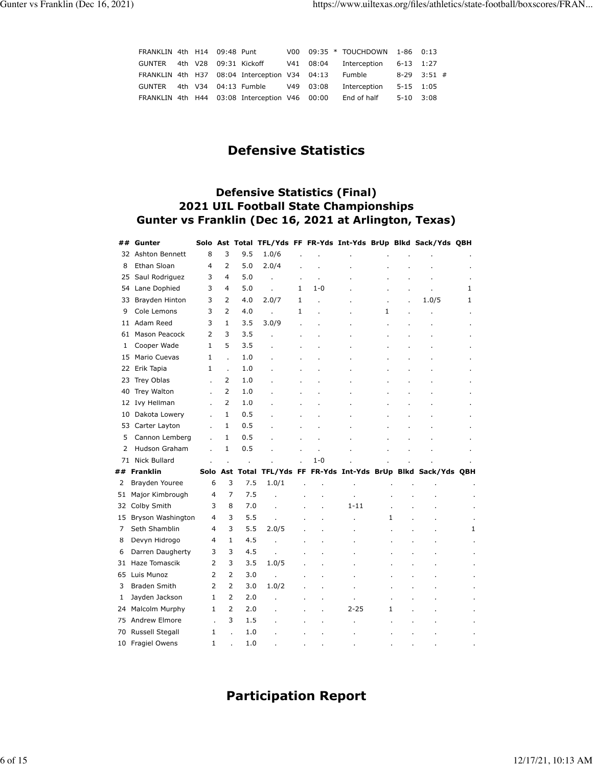| FRANKLIN 4th H14 09:48 Punt  |  |                                               |  | V00 09:35 * TOUCHDOWN 1-86 0:13  |           |                 |
|------------------------------|--|-----------------------------------------------|--|----------------------------------|-----------|-----------------|
| GUNTER 4th V28 09:31 Kickoff |  |                                               |  | V41 08:04 Interception 6-13 1:27 |           |                 |
|                              |  | FRANKLIN 4th H37 08:04 Interception V34 04:13 |  | Fumble                           |           | $8-29$ $3:51$ # |
|                              |  | GUNTER 4th V34 04:13 Fumble V49 03:08         |  | Interception                     | 5-15 1:05 |                 |
|                              |  | FRANKLIN 4th H44 03:08 Interception V46 00:00 |  | End of half                      | 5-10 3:08 |                 |

## **Defensive Statistics**

#### **Defensive Statistics (Final) 2021 UIL Football State Championships Gunter vs Franklin (Dec 16, 2021 at Arlington, Texas)**

| ## | Gunter              |                |                |     |       |   |         |          |   | Solo Ast Total TFL/Yds FF FR-Yds Int-Yds BrUp Blkd Sack/Yds QBH |   |
|----|---------------------|----------------|----------------|-----|-------|---|---------|----------|---|-----------------------------------------------------------------|---|
|    | 32 Ashton Bennett   | 8              | 3              | 9.5 | 1.0/6 |   |         |          |   |                                                                 |   |
| 8  | Ethan Sloan         | 4              | $\overline{2}$ | 5.0 | 2.0/4 |   |         |          |   |                                                                 |   |
| 25 | Saul Rodriguez      | 3              | 4              | 5.0 |       |   |         |          |   |                                                                 |   |
| 54 | Lane Dophied        | 3              | 4              | 5.0 |       | 1 | $1 - 0$ |          |   |                                                                 | 1 |
| 33 | Brayden Hinton      | 3              | 2              | 4.0 | 2.0/7 | 1 |         |          |   | 1.0/5                                                           | 1 |
| 9  | Cole Lemons         | 3              | $\overline{2}$ | 4.0 |       | 1 |         |          | 1 |                                                                 |   |
|    | 11 Adam Reed        | 3              | 1              | 3.5 | 3.0/9 |   |         |          |   |                                                                 |   |
| 61 | Mason Peacock       | $\overline{2}$ | 3              | 3.5 |       |   |         |          |   |                                                                 |   |
| 1  | Cooper Wade         | $\mathbf{1}$   | 5              | 3.5 |       |   |         |          |   |                                                                 |   |
| 15 | Mario Cuevas        | $\mathbf{1}$   | L.             | 1.0 |       |   |         |          |   |                                                                 |   |
|    | 22 Erik Tapia       | $\mathbf{1}$   | l.             | 1.0 |       |   |         |          |   |                                                                 |   |
| 23 | Trey Oblas          |                | 2              | 1.0 |       |   |         |          |   |                                                                 |   |
| 40 | Trey Walton         |                | 2              | 1.0 |       |   |         |          |   |                                                                 |   |
| 12 | Ivy Hellman         |                | 2              | 1.0 |       |   |         |          |   |                                                                 |   |
| 10 | Dakota Lowery       |                | 1              | 0.5 |       |   |         |          |   |                                                                 |   |
| 53 | Carter Layton       | ï              | 1              | 0.5 |       |   |         |          |   |                                                                 |   |
| 5  | Cannon Lemberg      |                | 1              | 0.5 |       |   |         |          |   |                                                                 |   |
| 2  | Hudson Graham       |                | 1              | 0.5 |       |   |         |          |   |                                                                 |   |
| 71 | <b>Nick Bullard</b> |                |                |     |       |   | $1 - 0$ |          |   |                                                                 |   |
| ## | <b>Franklin</b>     |                |                |     |       |   |         |          |   | Solo Ast Total TFL/Yds FF FR-Yds Int-Yds BrUp Blkd Sack/Yds QBH |   |
| 2  | Brayden Youree      | 6              | 3              | 7.5 | 1.0/1 |   |         |          |   |                                                                 |   |
| 51 | Major Kimbrough     | $\overline{4}$ | 7              | 7.5 |       |   |         |          |   |                                                                 |   |
| 32 | Colby Smith         | 3              | 8              | 7.0 |       |   |         | $1 - 11$ |   |                                                                 |   |
| 15 | Bryson Washington   | $\overline{4}$ | 3              | 5.5 |       |   |         |          | 1 |                                                                 |   |
| 7  | Seth Shamblin       | 4              | 3              | 5.5 | 2.0/5 |   |         |          |   |                                                                 | 1 |
| 8  | Devyn Hidrogo       | 4              | 1              | 4.5 |       |   |         |          |   |                                                                 |   |
| 6  | Darren Daugherty    | 3              | 3              | 4.5 |       |   |         |          |   |                                                                 |   |
| 31 | Haze Tomascik       | 2              | 3              | 3.5 | 1.0/5 |   |         |          |   |                                                                 |   |
| 65 | Luis Munoz          | 2              | 2              | 3.0 |       |   |         |          |   |                                                                 |   |
| 3  | <b>Braden Smith</b> | $\overline{2}$ | $\overline{2}$ | 3.0 | 1.0/2 |   |         |          |   |                                                                 |   |
| 1  | Jayden Jackson      | $\mathbf{1}$   | $\overline{2}$ | 2.0 |       |   |         |          |   |                                                                 |   |
| 24 | Malcolm Murphy      | $\mathbf{1}$   | $\overline{2}$ | 2.0 |       |   |         | $2 - 25$ | 1 |                                                                 |   |
| 75 | Andrew Elmore       | l.             | 3              | 1.5 |       |   |         |          |   |                                                                 |   |
| 70 | Russell Stegall     | 1              |                | 1.0 |       |   |         |          |   |                                                                 |   |
| 10 | Fragiel Owens       | $\mathbf{1}$   |                | 1.0 |       |   |         |          |   |                                                                 |   |

## **Participation Report**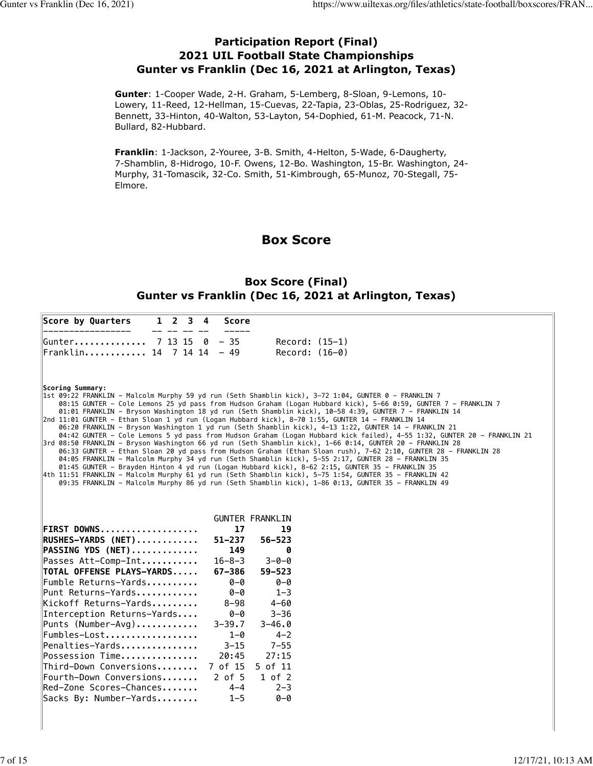#### **Participation Report (Final) 2021 UIL Football State Championships Gunter vs Franklin (Dec 16, 2021 at Arlington, Texas)**

**Gunter**: 1-Cooper Wade, 2-H. Graham, 5-Lemberg, 8-Sloan, 9-Lemons, 10- Lowery, 11-Reed, 12-Hellman, 15-Cuevas, 22-Tapia, 23-Oblas, 25-Rodriguez, 32- Bennett, 33-Hinton, 40-Walton, 53-Layton, 54-Dophied, 61-M. Peacock, 71-N. Bullard, 82-Hubbard.

**Franklin**: 1-Jackson, 2-Youree, 3-B. Smith, 4-Helton, 5-Wade, 6-Daugherty, 7-Shamblin, 8-Hidrogo, 10-F. Owens, 12-Bo. Washington, 15-Br. Washington, 24- Murphy, 31-Tomascik, 32-Co. Smith, 51-Kimbrough, 65-Munoz, 70-Stegall, 75- Elmore.

## **Box Score**

#### **Box Score (Final) Gunter vs Franklin (Dec 16, 2021 at Arlington, Texas)**

|                  | Score by Quarters                                 | $1 \quad 2 \quad 3 \quad 4$ |  | <b>Score</b>               |                                                                                                                                                                                                                                                                                                                                                                                                                                                                                                                                                                                                                                                                                                                                                                                                                                                                                                                                                                                                                                                                                                                                                                                                                                                                                                                                     |
|------------------|---------------------------------------------------|-----------------------------|--|----------------------------|-------------------------------------------------------------------------------------------------------------------------------------------------------------------------------------------------------------------------------------------------------------------------------------------------------------------------------------------------------------------------------------------------------------------------------------------------------------------------------------------------------------------------------------------------------------------------------------------------------------------------------------------------------------------------------------------------------------------------------------------------------------------------------------------------------------------------------------------------------------------------------------------------------------------------------------------------------------------------------------------------------------------------------------------------------------------------------------------------------------------------------------------------------------------------------------------------------------------------------------------------------------------------------------------------------------------------------------|
|                  | Gunter 7 13 15                                    |                             |  | $0 - 35$                   | $Record: (15-1)$                                                                                                                                                                                                                                                                                                                                                                                                                                                                                                                                                                                                                                                                                                                                                                                                                                                                                                                                                                                                                                                                                                                                                                                                                                                                                                                    |
|                  | Franklin 14 7 14 14 - 49                          |                             |  |                            | $Record: (16-0)$                                                                                                                                                                                                                                                                                                                                                                                                                                                                                                                                                                                                                                                                                                                                                                                                                                                                                                                                                                                                                                                                                                                                                                                                                                                                                                                    |
| Scoring Summary: |                                                   |                             |  |                            | 1st 09:22 FRANKLIN - Malcolm Murphy 59 yd run (Seth Shamblin kick), 3-72 1:04, GUNTER 0 - FRANKLIN 7<br>08:15 GUNTER – Cole Lemons 25 yd pass from Hudson Graham (Logan Hubbard kick), 5–66 0:59, GUNTER 7 – FRANKLIN 7<br>01:01 FRANKLIN - Bryson Washington 18 yd run (Seth Shamblin kick), 10-58 4:39, GUNTER 7 - FRANKLIN 14<br>$2nd$ 11:01 GUNTER - Ethan Sloan 1 yd run (Logan Hubbard kick), 8-70 1:55, GUNTER 14 - FRANKLIN 14<br>06:20 FRANKLIN - Bryson Washington 1 yd run (Seth Shamblin kick), 4-13 1:22, GUNTER 14 - FRANKLIN 21<br>04:42 GUNTER - Cole Lemons 5 yd pass from Hudson Graham (Logan Hubbard kick failed), 4-55 1:32, GUNTER 20 - FRANKLIN 21<br>3rd 08:50 FRANKLIN - Bryson Washington 66 yd run (Seth Shamblin kick), 1-66 0:14, GUNTER 20 - FRANKLIN 28<br>06:33 GUNTER - Ethan Sloan 20 yd pass from Hudson Graham (Ethan Sloan rush), 7-62 2:10, GUNTER 28 - FRANKLIN 28<br>04:05 FRANKLIN - Malcolm Murphy 34 yd run (Seth Shamblin kick), 5-55 2:17, GUNTER 28 - FRANKLIN 35<br>01:45 GUNTER - Brayden Hinton 4 yd run (Logan Hubbard kick), 8-62 2:15, GUNTER 35 - FRANKLIN 35<br>4th 11:51 FRANKLIN – Malcolm Murphy 61 yd run (Seth Shamblin kick), 5–75 1:54, GUNTER 35 – FRANKLIN 42 <br>09:35 FRANKLIN - Malcolm Murphy 86 yd run (Seth Shamblin kick), 1-86 0:13, GUNTER 35 - FRANKLIN 49 |
|                  |                                                   |                             |  |                            | <b>GUNTER FRANKLIN</b>                                                                                                                                                                                                                                                                                                                                                                                                                                                                                                                                                                                                                                                                                                                                                                                                                                                                                                                                                                                                                                                                                                                                                                                                                                                                                                              |
|                  | FIRST DOWNS                                       |                             |  | 17                         | 19                                                                                                                                                                                                                                                                                                                                                                                                                                                                                                                                                                                                                                                                                                                                                                                                                                                                                                                                                                                                                                                                                                                                                                                                                                                                                                                                  |
|                  | RUSHES-YARDS (NET)                                |                             |  | $51 - 237$                 | $56 - 523$                                                                                                                                                                                                                                                                                                                                                                                                                                                                                                                                                                                                                                                                                                                                                                                                                                                                                                                                                                                                                                                                                                                                                                                                                                                                                                                          |
|                  | PASSING YDS (NET)                                 |                             |  | 149                        | ิด                                                                                                                                                                                                                                                                                                                                                                                                                                                                                                                                                                                                                                                                                                                                                                                                                                                                                                                                                                                                                                                                                                                                                                                                                                                                                                                                  |
|                  | Passes Att-Comp-Int<br>TOTAL OFFENSE PLAYS-YARDS  |                             |  | $16 - 8 - 3$<br>$67 - 386$ | $3 - 0 - 0$<br>$59 - 523$                                                                                                                                                                                                                                                                                                                                                                                                                                                                                                                                                                                                                                                                                                                                                                                                                                                                                                                                                                                                                                                                                                                                                                                                                                                                                                           |
|                  | Fumble Returns-Yards                              |                             |  | $0 - Q$                    | $0 - 0$                                                                                                                                                                                                                                                                                                                                                                                                                                                                                                                                                                                                                                                                                                                                                                                                                                                                                                                                                                                                                                                                                                                                                                                                                                                                                                                             |
|                  | Punt Returns-Yards                                |                             |  | $0 - 0$                    | $1 - 3$                                                                                                                                                                                                                                                                                                                                                                                                                                                                                                                                                                                                                                                                                                                                                                                                                                                                                                                                                                                                                                                                                                                                                                                                                                                                                                                             |
|                  | Kickoff Returns-Yards                             |                             |  | $8 - 98$                   | $4 - 60$                                                                                                                                                                                                                                                                                                                                                                                                                                                                                                                                                                                                                                                                                                                                                                                                                                                                                                                                                                                                                                                                                                                                                                                                                                                                                                                            |
|                  | Interception Returns-Yards                        |                             |  | $0 - 0$                    | $3 - 36$                                                                                                                                                                                                                                                                                                                                                                                                                                                                                                                                                                                                                                                                                                                                                                                                                                                                                                                                                                                                                                                                                                                                                                                                                                                                                                                            |
|                  | Punts $(Number-Avq)$                              |                             |  | $3 - 39.7$                 | $3 - 46.0$                                                                                                                                                                                                                                                                                                                                                                                                                                                                                                                                                                                                                                                                                                                                                                                                                                                                                                                                                                                                                                                                                                                                                                                                                                                                                                                          |
|                  | Fumbles-Lost                                      |                             |  | $1 - 0$                    | $4 - 2$                                                                                                                                                                                                                                                                                                                                                                                                                                                                                                                                                                                                                                                                                                                                                                                                                                                                                                                                                                                                                                                                                                                                                                                                                                                                                                                             |
|                  | Penalties-Yards                                   |                             |  | $3 - 15$                   | $7 - 55$                                                                                                                                                                                                                                                                                                                                                                                                                                                                                                                                                                                                                                                                                                                                                                                                                                                                                                                                                                                                                                                                                                                                                                                                                                                                                                                            |
|                  | Possession Time                                   |                             |  | 20:45                      | 27:15                                                                                                                                                                                                                                                                                                                                                                                                                                                                                                                                                                                                                                                                                                                                                                                                                                                                                                                                                                                                                                                                                                                                                                                                                                                                                                                               |
|                  | Third-Down Conversions                            |                             |  | 7 of 15                    | 5 of 11                                                                                                                                                                                                                                                                                                                                                                                                                                                                                                                                                                                                                                                                                                                                                                                                                                                                                                                                                                                                                                                                                                                                                                                                                                                                                                                             |
|                  | Fourth-Down Conversions                           |                             |  | $2$ of $5$                 | $1$ of $2$                                                                                                                                                                                                                                                                                                                                                                                                                                                                                                                                                                                                                                                                                                                                                                                                                                                                                                                                                                                                                                                                                                                                                                                                                                                                                                                          |
|                  | Red-Zone Scores-Chances<br>Sacks By: Number-Yards |                             |  | $4 - 4$<br>$1 - 5$         | $2 - 3$<br>$0 - 0$                                                                                                                                                                                                                                                                                                                                                                                                                                                                                                                                                                                                                                                                                                                                                                                                                                                                                                                                                                                                                                                                                                                                                                                                                                                                                                                  |
|                  |                                                   |                             |  |                            |                                                                                                                                                                                                                                                                                                                                                                                                                                                                                                                                                                                                                                                                                                                                                                                                                                                                                                                                                                                                                                                                                                                                                                                                                                                                                                                                     |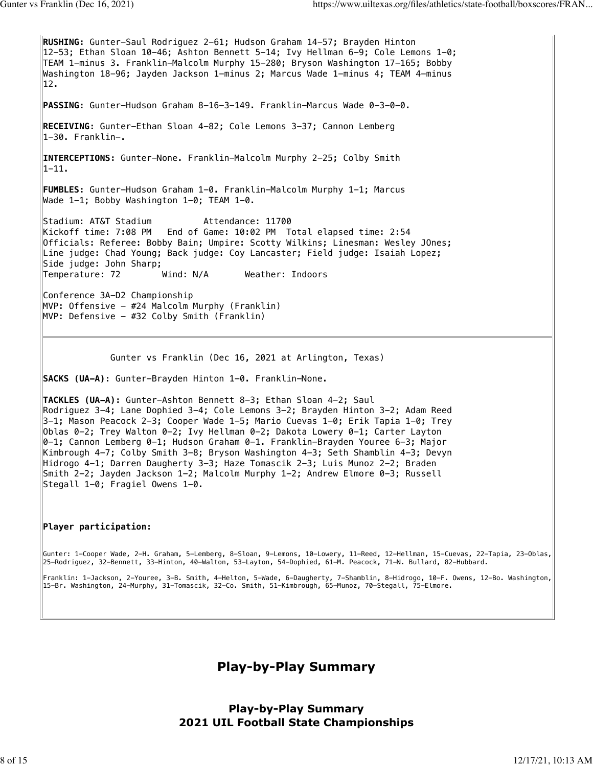**RUSHING:** Gunter-Saul Rodriguez 2-61; Hudson Graham 14-57; Brayden Hinton 12-53; Ethan Sloan 10-46; Ashton Bennett 5-14; Ivy Hellman 6-9; Cole Lemons 1-0; TEAM 1-minus 3. Franklin-Malcolm Murphy 15-280; Bryson Washington 17-165; Bobby Washington 18-96; Jayden Jackson 1-minus 2; Marcus Wade 1-minus 4; TEAM 4-minus 12. **PASSING:** Gunter-Hudson Graham 8-16-3-149. Franklin-Marcus Wade 0-3-0-0. **RECEIVING:** Gunter-Ethan Sloan 4-82; Cole Lemons 3-37; Cannon Lemberg 1-30. Franklin-. **INTERCEPTIONS:** Gunter-None. Franklin-Malcolm Murphy 2-25; Colby Smith 1-11. **FUMBLES:** Gunter-Hudson Graham 1-0. Franklin-Malcolm Murphy 1-1; Marcus Wade 1-1; Bobby Washington 1-0; TEAM 1-0. Stadium: AT&T Stadium Attendance: 11700 Kickoff time: 7:08 PM End of Game: 10:02 PM Total elapsed time: 2:54 Officials: Referee: Bobby Bain; Umpire: Scotty Wilkins; Linesman: Wesley JOnes; Line judge: Chad Young; Back judge: Coy Lancaster; Field judge: Isaiah Lopez; Side judge: John Sharp; Temperature: 72 Wind: N/A Weather: Indoors Conference 3A-D2 Championship MVP: Offensive - #24 Malcolm Murphy (Franklin) MVP: Defensive - #32 Colby Smith (Franklin) Gunter vs Franklin (Dec 16, 2021 at Arlington, Texas) **SACKS (UA-A):** Gunter-Brayden Hinton 1-0. Franklin-None. **TACKLES (UA-A):** Gunter-Ashton Bennett 8-3; Ethan Sloan 4-2; Saul Rodriguez 3-4; Lane Dophied 3-4; Cole Lemons 3-2; Brayden Hinton 3-2; Adam Reed 3-1; Mason Peacock 2-3; Cooper Wade 1-5; Mario Cuevas 1-0; Erik Tapia 1-0; Trey Oblas 0-2; Trey Walton 0-2; Ivy Hellman 0-2; Dakota Lowery 0-1; Carter Layton 0-1; Cannon Lemberg 0-1; Hudson Graham 0-1. Franklin-Brayden Youree 6-3; Major Kimbrough 4-7; Colby Smith 3-8; Bryson Washington 4-3; Seth Shamblin 4-3; Devyn Hidrogo 4-1; Darren Daugherty 3-3; Haze Tomascik 2-3; Luis Munoz 2-2; Braden Smith 2-2; Jayden Jackson 1-2; Malcolm Murphy 1-2; Andrew Elmore 0-3; Russell Stegall 1-0; Fragiel Owens 1-0.

#### **Player participation:**

Gunter: 1-Cooper Wade, 2-H. Graham, 5-Lemberg, 8-Sloan, 9-Lemons, 10-Lowery, 11-Reed, 12-Hellman, 15-Cuevas, 22-Tapia, 23-Oblas, 25-Rodriguez, 32-Bennett, 33-Hinton, 40-Walton, 53-Layton, 54-Dophied, 61-M. Peacock, 71-N. Bullard, 82-Hubbard.

Franklin: 1-Jackson, 2-Youree, 3-B. Smith, 4-Helton, 5-Wade, 6-Daugherty, 7-Shamblin, 8-Hidrogo, 10-F. Owens, 12-Bo. Washington, 15-Br. Washington, 24-Murphy, 31-Tomascik, 32-Co. Smith, 51-Kimbrough, 65-Munoz, 70-Stegall, 75-Elmore.

**Play-by-Play Summary**

**Play-by-Play Summary 2021 UIL Football State Championships**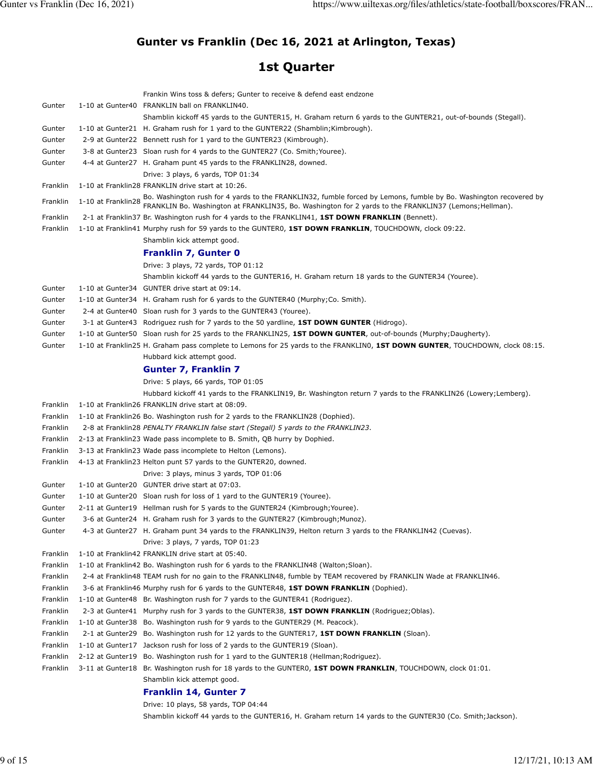## **Gunter vs Franklin (Dec 16, 2021 at Arlington, Texas)**

## **1st Quarter**

|          |                    | Frankin Wins toss & defers; Gunter to receive & defend east endzone                                                                                                                                                         |
|----------|--------------------|-----------------------------------------------------------------------------------------------------------------------------------------------------------------------------------------------------------------------------|
| Gunter   |                    | 1-10 at Gunter40 FRANKLIN ball on FRANKLIN40.                                                                                                                                                                               |
|          |                    | Shamblin kickoff 45 yards to the GUNTER15, H. Graham return 6 yards to the GUNTER21, out-of-bounds (Stegall).                                                                                                               |
| Gunter   |                    | 1-10 at Gunter21 H. Graham rush for 1 yard to the GUNTER22 (Shamblin; Kimbrough).                                                                                                                                           |
| Gunter   |                    | 2-9 at Gunter22 Bennett rush for 1 yard to the GUNTER23 (Kimbrough).                                                                                                                                                        |
| Gunter   |                    | 3-8 at Gunter23 Sloan rush for 4 yards to the GUNTER27 (Co. Smith; Youree).                                                                                                                                                 |
| Gunter   |                    | 4-4 at Gunter27 H. Graham punt 45 yards to the FRANKLIN28, downed.                                                                                                                                                          |
|          |                    | Drive: 3 plays, 6 yards, TOP 01:34                                                                                                                                                                                          |
| Franklin |                    | 1-10 at Franklin28 FRANKLIN drive start at 10:26.                                                                                                                                                                           |
| Franklin | 1-10 at Franklin28 | Bo. Washington rush for 4 yards to the FRANKLIN32, fumble forced by Lemons, fumble by Bo. Washington recovered by<br>FRANKLIN Bo. Washington at FRANKLIN35, Bo. Washington for 2 yards to the FRANKLIN37 (Lemons; Hellman). |
| Franklin |                    | 2-1 at Franklin37 Br. Washington rush for 4 yards to the FRANKLIN41, 1ST DOWN FRANKLIN (Bennett).                                                                                                                           |
| Franklin |                    | 1-10 at Franklin41 Murphy rush for 59 yards to the GUNTER0, 1ST DOWN FRANKLIN, TOUCHDOWN, clock 09:22.                                                                                                                      |
|          |                    | Shamblin kick attempt good.                                                                                                                                                                                                 |
|          |                    | Franklin 7, Gunter 0                                                                                                                                                                                                        |
|          |                    | Drive: 3 plays, 72 yards, TOP 01:12                                                                                                                                                                                         |
|          |                    | Shamblin kickoff 44 yards to the GUNTER16, H. Graham return 18 yards to the GUNTER34 (Youree).                                                                                                                              |
| Gunter   |                    | 1-10 at Gunter34 GUNTER drive start at 09:14.                                                                                                                                                                               |
| Gunter   |                    | 1-10 at Gunter34 H. Graham rush for 6 yards to the GUNTER40 (Murphy; Co. Smith).                                                                                                                                            |
| Gunter   |                    | 2-4 at Gunter40 Sloan rush for 3 yards to the GUNTER43 (Youree).                                                                                                                                                            |
| Gunter   |                    | 3-1 at Gunter43 Rodriguez rush for 7 yards to the 50 yardline, 1ST DOWN GUNTER (Hidrogo).                                                                                                                                   |
| Gunter   |                    | 1-10 at Gunter50 Sloan rush for 25 yards to the FRANKLIN25, 1ST DOWN GUNTER, out-of-bounds (Murphy;Daugherty).                                                                                                              |
| Gunter   |                    | 1-10 at Franklin25 H. Graham pass complete to Lemons for 25 yards to the FRANKLIN0, 1ST DOWN GUNTER, TOUCHDOWN, clock 08:15.                                                                                                |
|          |                    | Hubbard kick attempt good.                                                                                                                                                                                                  |
|          |                    | <b>Gunter 7, Franklin 7</b>                                                                                                                                                                                                 |
|          |                    | Drive: 5 plays, 66 yards, TOP 01:05                                                                                                                                                                                         |
|          |                    | Hubbard kickoff 41 yards to the FRANKLIN19, Br. Washington return 7 yards to the FRANKLIN26 (Lowery;Lemberg).                                                                                                               |
| Franklin |                    | 1-10 at Franklin26 FRANKLIN drive start at 08:09.                                                                                                                                                                           |
| Franklin |                    | 1-10 at Franklin26 Bo. Washington rush for 2 yards to the FRANKLIN28 (Dophied).                                                                                                                                             |
| Franklin |                    | 2-8 at Franklin28 PENALTY FRANKLIN false start (Stegall) 5 yards to the FRANKLIN23.                                                                                                                                         |
| Franklin |                    | 2-13 at Franklin23 Wade pass incomplete to B. Smith, QB hurry by Dophied.                                                                                                                                                   |
| Franklin |                    | 3-13 at Franklin23 Wade pass incomplete to Helton (Lemons).                                                                                                                                                                 |
| Franklin |                    | 4-13 at Franklin23 Helton punt 57 yards to the GUNTER20, downed.                                                                                                                                                            |
|          |                    | Drive: 3 plays, minus 3 yards, TOP 01:06                                                                                                                                                                                    |
| Gunter   |                    | 1-10 at Gunter20 GUNTER drive start at 07:03.                                                                                                                                                                               |
| Gunter   |                    | 1-10 at Gunter20 Sloan rush for loss of 1 yard to the GUNTER19 (Youree).                                                                                                                                                    |
| Gunter   |                    | 2-11 at Gunter19 Hellman rush for 5 yards to the GUNTER24 (Kimbrough; Youree).                                                                                                                                              |
| Gunter   |                    | 3-6 at Gunter24 H. Graham rush for 3 yards to the GUNTER27 (Kimbrough; Munoz)                                                                                                                                               |
| Gunter   |                    | 4-3 at Gunter27 H. Graham punt 34 yards to the FRANKLIN39, Helton return 3 yards to the FRANKLIN42 (Cuevas).                                                                                                                |
|          |                    | Drive: 3 plays, 7 yards, TOP 01:23                                                                                                                                                                                          |
| Franklin |                    | 1-10 at Franklin42 FRANKLIN drive start at 05:40.                                                                                                                                                                           |
| Franklin |                    | 1-10 at Franklin42 Bo. Washington rush for 6 yards to the FRANKLIN48 (Walton; Sloan).                                                                                                                                       |
| Franklin |                    | 2-4 at Franklin48 TEAM rush for no gain to the FRANKLIN48, fumble by TEAM recovered by FRANKLIN Wade at FRANKLIN46.                                                                                                         |
| Franklin |                    | 3-6 at Franklin46 Murphy rush for 6 yards to the GUNTER48, 1ST DOWN FRANKLIN (Dophied).                                                                                                                                     |
| Franklin |                    | 1-10 at Gunter48 Br. Washington rush for 7 yards to the GUNTER41 (Rodriguez).                                                                                                                                               |
| Franklin |                    | 2-3 at Gunter41 Murphy rush for 3 yards to the GUNTER38, 1ST DOWN FRANKLIN (Rodriguez; Oblas).                                                                                                                              |
| Franklin |                    | 1-10 at Gunter 38 Bo. Washington rush for 9 yards to the GUNTER 29 (M. Peacock).                                                                                                                                            |
| Franklin |                    | 2-1 at Gunter29 Bo. Washington rush for 12 yards to the GUNTER17, 1ST DOWN FRANKLIN (Sloan).                                                                                                                                |
| Franklin |                    | 1-10 at Gunter17 Jackson rush for loss of 2 yards to the GUNTER19 (Sloan).                                                                                                                                                  |
| Franklin |                    | 2-12 at Gunter19 Bo. Washington rush for 1 yard to the GUNTER18 (Hellman; Rodriguez).                                                                                                                                       |
| Franklin |                    | 3-11 at Gunter18 Br. Washington rush for 18 yards to the GUNTERO, 1ST DOWN FRANKLIN, TOUCHDOWN, clock 01:01.<br>Shamblin kick attempt good.                                                                                 |
|          |                    | Franklin 14, Gunter 7                                                                                                                                                                                                       |
|          |                    |                                                                                                                                                                                                                             |

Drive: 10 plays, 58 yards, TOP 04:44 Shamblin kickoff 44 yards to the GUNTER16, H. Graham return 14 yards to the GUNTER30 (Co. Smith;Jackson).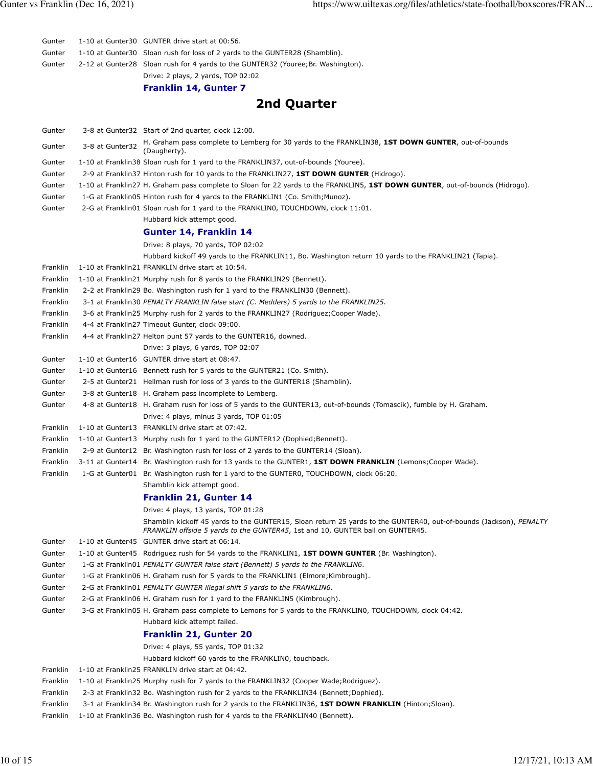| Gunter               |                 | 1-10 at Gunter30 GUNTER drive start at 00:56.                                                                                                                                                               |
|----------------------|-----------------|-------------------------------------------------------------------------------------------------------------------------------------------------------------------------------------------------------------|
| Gunter               |                 | 1-10 at Gunter 30 Sloan rush for loss of 2 yards to the GUNTER 28 (Shamblin).                                                                                                                               |
| Gunter               |                 | 2-12 at Gunter28 Sloan rush for 4 yards to the GUNTER32 (Youree; Br. Washington).                                                                                                                           |
|                      |                 | Drive: 2 plays, 2 yards, TOP 02:02                                                                                                                                                                          |
|                      |                 | Franklin 14, Gunter 7                                                                                                                                                                                       |
|                      |                 | 2nd Quarter                                                                                                                                                                                                 |
| Gunter               |                 | 3-8 at Gunter32 Start of 2nd quarter, clock 12:00.                                                                                                                                                          |
| Gunter               | 3-8 at Gunter32 | H. Graham pass complete to Lemberg for 30 yards to the FRANKLIN38, 1ST DOWN GUNTER, out-of-bounds<br>(Daugherty).                                                                                           |
| Gunter               |                 | 1-10 at Franklin38 Sloan rush for 1 yard to the FRANKLIN37, out-of-bounds (Youree).                                                                                                                         |
| Gunter               |                 | 2-9 at Franklin37 Hinton rush for 10 yards to the FRANKLIN27, 1ST DOWN GUNTER (Hidrogo).                                                                                                                    |
| Gunter               |                 | 1-10 at Franklin27 H. Graham pass complete to Sloan for 22 yards to the FRANKLIN5, 1ST DOWN GUNTER, out-of-bounds (Hidrogo).                                                                                |
| Gunter               |                 | 1-G at Franklin05 Hinton rush for 4 yards to the FRANKLIN1 (Co. Smith; Munoz).                                                                                                                              |
| Gunter               |                 | 2-G at Franklin01 Sloan rush for 1 yard to the FRANKLINO, TOUCHDOWN, clock 11:01.<br>Hubbard kick attempt good.                                                                                             |
|                      |                 | Gunter 14, Franklin 14                                                                                                                                                                                      |
|                      |                 | Drive: 8 plays, 70 yards, TOP 02:02                                                                                                                                                                         |
|                      |                 | Hubbard kickoff 49 yards to the FRANKLIN11, Bo. Washington return 10 yards to the FRANKLIN21 (Tapia).                                                                                                       |
| Franklin             |                 | 1-10 at Franklin21 FRANKLIN drive start at 10:54.                                                                                                                                                           |
| Franklin             |                 | 1-10 at Franklin21 Murphy rush for 8 yards to the FRANKLIN29 (Bennett).                                                                                                                                     |
| Franklin             |                 | 2-2 at Franklin29 Bo. Washington rush for 1 yard to the FRANKLIN30 (Bennett).                                                                                                                               |
| Franklin             |                 | 3-1 at Franklin30 PENALTY FRANKLIN false start (C. Medders) 5 yards to the FRANKLIN25.                                                                                                                      |
| Franklin             |                 | 3-6 at Franklin25 Murphy rush for 2 yards to the FRANKLIN27 (Rodriguez; Cooper Wade).                                                                                                                       |
| Franklin             |                 | 4-4 at Franklin27 Timeout Gunter, clock 09:00.                                                                                                                                                              |
| Franklin             |                 | 4-4 at Franklin27 Helton punt 57 yards to the GUNTER16, downed.<br>Drive: 3 plays, 6 yards, TOP 02:07                                                                                                       |
| Gunter               |                 | 1-10 at Gunter16 GUNTER drive start at 08:47.                                                                                                                                                               |
| Gunter               |                 | 1-10 at Gunter16 Bennett rush for 5 yards to the GUNTER21 (Co. Smith).                                                                                                                                      |
| Gunter               |                 | 2-5 at Gunter21 Hellman rush for loss of 3 yards to the GUNTER18 (Shamblin).                                                                                                                                |
| Gunter               |                 | 3-8 at Gunter18 H. Graham pass incomplete to Lemberg.                                                                                                                                                       |
| Gunter               |                 | 4-8 at Gunter18 H. Graham rush for loss of 5 yards to the GUNTER13, out-of-bounds (Tomascik), fumble by H. Graham.                                                                                          |
|                      |                 | Drive: 4 plays, minus 3 yards, TOP 01:05                                                                                                                                                                    |
| Franklin             |                 | 1-10 at Gunter13 FRANKLIN drive start at 07:42.                                                                                                                                                             |
| Franklin             |                 | 1-10 at Gunter13 Murphy rush for 1 yard to the GUNTER12 (Dophied; Bennett).                                                                                                                                 |
| Franklin             |                 | 2-9 at Gunter12 Br. Washington rush for loss of 2 yards to the GUNTER14 (Sloan).                                                                                                                            |
| Franklin<br>Franklin |                 | 3-11 at Gunter14 Br. Washington rush for 13 yards to the GUNTER1, <b>1ST DOWN FRANKLIN</b> (Lemons; Cooper Wade).<br>1-G at Gunter01 Br. Washington rush for 1 yard to the GUNTER0, TOUCHDOWN, clock 06:20. |
|                      |                 | Shamblin kick attempt good.                                                                                                                                                                                 |
|                      |                 | <b>Franklin 21, Gunter 14</b>                                                                                                                                                                               |
|                      |                 | Drive: 4 plays, 13 yards, TOP 01:28                                                                                                                                                                         |
|                      |                 | Shamblin kickoff 45 yards to the GUNTER15, Sloan return 25 yards to the GUNTER40, out-of-bounds (Jackson), PENALTY<br>FRANKLIN offside 5 yards to the GUNTER45, 1st and 10, GUNTER ball on GUNTER45.        |
| Gunter               |                 | 1-10 at Gunter45 GUNTER drive start at 06:14.                                                                                                                                                               |
| Gunter               |                 | 1-10 at Gunter45 Rodriguez rush for 54 yards to the FRANKLIN1, 1ST DOWN GUNTER (Br. Washington).                                                                                                            |
| Gunter               |                 | 1-G at Franklin01 PENALTY GUNTER false start (Bennett) 5 yards to the FRANKLIN6.                                                                                                                            |
| Gunter               |                 | 1-G at Franklin06 H. Graham rush for 5 yards to the FRANKLIN1 (Elmore; Kimbrough).                                                                                                                          |
| Gunter               |                 | 2-G at Franklin01 PENALTY GUNTER illegal shift 5 yards to the FRANKLIN6.                                                                                                                                    |
| Gunter               |                 | 2-G at Franklin06 H. Graham rush for 1 yard to the FRANKLIN5 (Kimbrough).                                                                                                                                   |
| Gunter               |                 | 3-G at Franklin05 H. Graham pass complete to Lemons for 5 yards to the FRANKLIN0, TOUCHDOWN, clock 04:42.<br>Hubbard kick attempt failed.                                                                   |
|                      |                 |                                                                                                                                                                                                             |
|                      |                 | <b>Franklin 21, Gunter 20</b>                                                                                                                                                                               |
|                      |                 | Drive: 4 plays, 55 yards, TOP 01:32                                                                                                                                                                         |
| Franklin             |                 | Hubbard kickoff 60 yards to the FRANKLINO, touchback.<br>1-10 at Franklin25 FRANKLIN drive start at 04:42.                                                                                                  |
| Franklin             |                 | 1-10 at Franklin25 Murphy rush for 7 yards to the FRANKLIN32 (Cooper Wade; Rodriguez).                                                                                                                      |
| Franklin             |                 | 2-3 at Franklin32 Bo. Washington rush for 2 yards to the FRANKLIN34 (Bennett; Dophied).                                                                                                                     |
| Franklin             |                 | 3-1 at Franklin34 Br. Washington rush for 2 yards to the FRANKLIN36, 1ST DOWN FRANKLIN (Hinton; Sloan).                                                                                                     |
| Franklin             |                 | 1-10 at Franklin 36 Bo. Washington rush for 4 yards to the FRANKLIN40 (Bennett).                                                                                                                            |
|                      |                 |                                                                                                                                                                                                             |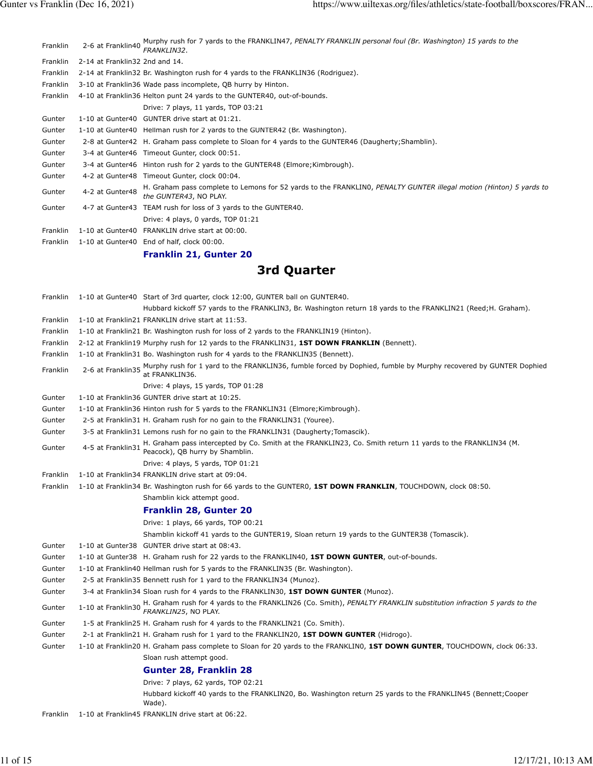|                 |                                | 9. J.A.                                                                                                                                      |
|-----------------|--------------------------------|----------------------------------------------------------------------------------------------------------------------------------------------|
|                 |                                | <b>Franklin 21, Gunter 20</b>                                                                                                                |
| <b>Franklin</b> |                                | 1-10 at Gunter40 End of half, clock 00:00.                                                                                                   |
| Franklin        |                                | 1-10 at Gunter40 FRANKLIN drive start at 00:00.                                                                                              |
|                 |                                | Drive: 4 plays, 0 yards, TOP 01:21                                                                                                           |
| Gunter          |                                | 4-7 at Gunter43 TEAM rush for loss of 3 yards to the GUNTER40.                                                                               |
| Gunter          | 4-2 at Gunter48                | H. Graham pass complete to Lemons for 52 yards to the FRANKLINO, PENALTY GUNTER illegal motion (Hinton) 5 yards to<br>the GUNTER43, NO PLAY. |
| Gunter          |                                | 4-2 at Gunter48 Timeout Gunter, clock 00:04.                                                                                                 |
| Gunter          |                                | 3-4 at Gunter46 Hinton rush for 2 yards to the GUNTER48 (Elmore; Kimbrough).                                                                 |
| Gunter          |                                | 3-4 at Gunter46 Timeout Gunter, clock 00:51.                                                                                                 |
| Gunter          |                                | 2-8 at Gunter42 H. Graham pass complete to Sloan for 4 yards to the GUNTER46 (Daugherty; Shamblin).                                          |
| Gunter          |                                | 1-10 at Gunter40 Hellman rush for 2 yards to the GUNTER42 (Br. Washington).                                                                  |
| Gunter          |                                | 1-10 at Gunter40 GUNTER drive start at 01:21.                                                                                                |
|                 |                                | Drive: 7 plays, 11 yards, TOP 03:21                                                                                                          |
| Franklin        |                                | 4-10 at Franklin36 Helton punt 24 yards to the GUNTER40, out-of-bounds.                                                                      |
| Franklin        |                                | 3-10 at Franklin36 Wade pass incomplete, QB hurry by Hinton.                                                                                 |
| Franklin        |                                | 2-14 at Franklin32 Br. Washington rush for 4 yards to the FRANKLIN36 (Rodriguez).                                                            |
| Franklin        | 2-14 at Franklin32 2nd and 14. |                                                                                                                                              |
| Franklin        | 2-6 at Franklin40              | Murphy rush for 7 yards to the FRANKLIN47, PENALTY FRANKLIN personal foul (Br. Washington) 15 yards to the<br>FRANKLIN32.                    |

## **3rd Quarter**

| Franklin |                    | 1-10 at Gunter40 Start of 3rd quarter, clock 12:00, GUNTER ball on GUNTER40.                                                                                           |
|----------|--------------------|------------------------------------------------------------------------------------------------------------------------------------------------------------------------|
|          |                    | Hubbard kickoff 57 yards to the FRANKLIN3, Br. Washington return 18 yards to the FRANKLIN21 (Reed;H. Graham).                                                          |
| Franklin |                    | 1-10 at Franklin21 FRANKLIN drive start at 11:53.                                                                                                                      |
| Franklin |                    | 1-10 at Franklin21 Br. Washington rush for loss of 2 yards to the FRANKLIN19 (Hinton).                                                                                 |
| Franklin |                    | 2-12 at Franklin19 Murphy rush for 12 yards to the FRANKLIN31, 1ST DOWN FRANKLIN (Bennett).                                                                            |
| Franklin |                    | 1-10 at Franklin31 Bo. Washington rush for 4 yards to the FRANKLIN35 (Bennett).                                                                                        |
| Franklin |                    | 2-6 at Franklin35 Murphy rush for 1 yard to the FRANKLIN36, fumble forced by Dophied, fumble by Murphy recovered by GUNTER Dophied<br>2-6 at Franklin35 at FRANKLIN36. |
|          |                    | Drive: 4 plays, 15 yards, TOP 01:28                                                                                                                                    |
| Gunter   |                    | 1-10 at Franklin36 GUNTER drive start at 10:25.                                                                                                                        |
| Gunter   |                    | 1-10 at Franklin36 Hinton rush for 5 yards to the FRANKLIN31 (Elmore; Kimbrough).                                                                                      |
| Gunter   |                    | 2-5 at Franklin31 H. Graham rush for no gain to the FRANKLIN31 (Youree).                                                                                               |
| Gunter   |                    | 3-5 at Franklin31 Lemons rush for no gain to the FRANKLIN31 (Daugherty;Tomascik).                                                                                      |
| Gunter   | 4-5 at Franklin31  | H. Graham pass intercepted by Co. Smith at the FRANKLIN23, Co. Smith return 11 yards to the FRANKLIN34 (M.<br>Peacock), QB hurry by Shamblin.                          |
|          |                    | Drive: 4 plays, 5 yards, TOP 01:21                                                                                                                                     |
| Franklin |                    | 1-10 at Franklin34 FRANKLIN drive start at 09:04.                                                                                                                      |
| Franklin |                    | 1-10 at Franklin34 Br. Washington rush for 66 yards to the GUNTERO, 1ST DOWN FRANKLIN, TOUCHDOWN, clock 08:50.                                                         |
|          |                    | Shamblin kick attempt good.                                                                                                                                            |
|          |                    | <b>Franklin 28, Gunter 20</b>                                                                                                                                          |
|          |                    | Drive: 1 plays, 66 yards, TOP 00:21                                                                                                                                    |
|          |                    | Shamblin kickoff 41 yards to the GUNTER19, Sloan return 19 yards to the GUNTER38 (Tomascik).                                                                           |
| Gunter   |                    | 1-10 at Gunter38 GUNTER drive start at 08:43.                                                                                                                          |
| Gunter   |                    | 1-10 at Gunter38 H. Graham rush for 22 yards to the FRANKLIN40, 1ST DOWN GUNTER, out-of-bounds.                                                                        |
| Gunter   |                    | 1-10 at Franklin40 Hellman rush for 5 yards to the FRANKLIN35 (Br. Washington).                                                                                        |
| Gunter   |                    | 2-5 at Franklin35 Bennett rush for 1 yard to the FRANKLIN34 (Munoz).                                                                                                   |
| Gunter   |                    | 3-4 at Franklin34 Sloan rush for 4 yards to the FRANKLIN30, 1ST DOWN GUNTER (Munoz).                                                                                   |
| Gunter   | 1-10 at Franklin30 | H. Graham rush for 4 yards to the FRANKLIN26 (Co. Smith), PENALTY FRANKLIN substitution infraction 5 yards to the<br>FRANKLIN25, NO PLAY.                              |
| Gunter   |                    | 1-5 at Franklin25 H. Graham rush for 4 yards to the FRANKLIN21 (Co. Smith).                                                                                            |
| Gunter   |                    | 2-1 at Franklin21 H. Graham rush for 1 yard to the FRANKLIN20, 1ST DOWN GUNTER (Hidrogo).                                                                              |
| Gunter   |                    | 1-10 at Franklin20 H. Graham pass complete to Sloan for 20 yards to the FRANKLINO, 1ST DOWN GUNTER, TOUCHDOWN, clock 06:33.                                            |
|          |                    | Sloan rush attempt good.                                                                                                                                               |
|          |                    | <b>Gunter 28, Franklin 28</b>                                                                                                                                          |
|          |                    | Drive: 7 plays, 62 yards, TOP 02:21                                                                                                                                    |
|          |                    | Hubbard kickoff 40 yards to the FRANKLIN20, Bo. Washington return 25 yards to the FRANKLIN45 (Bennett; Cooper<br>Wade).                                                |

Franklin 1-10 at Franklin45 FRANKLIN drive start at 06:22.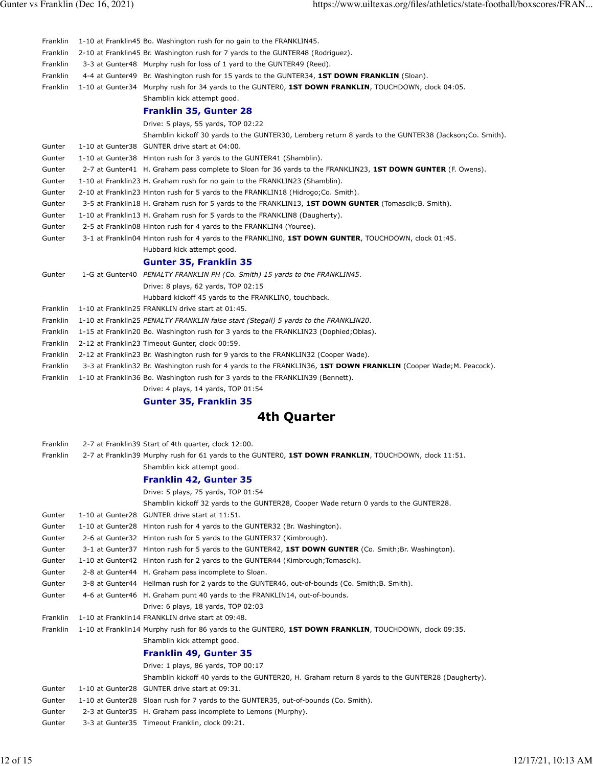| Franklin             | 1-10 at Franklin45 Bo. Washington rush for no gain to the FRANKLIN45.                                                                                                                                 |
|----------------------|-------------------------------------------------------------------------------------------------------------------------------------------------------------------------------------------------------|
| Franklin             | 2-10 at Franklin45 Br. Washington rush for 7 yards to the GUNTER48 (Rodriguez).                                                                                                                       |
| Franklin             | 3-3 at Gunter48 Murphy rush for loss of 1 yard to the GUNTER49 (Reed).                                                                                                                                |
| Franklin             | 4-4 at Gunter49 Br. Washington rush for 15 yards to the GUNTER34, 1ST DOWN FRANKLIN (Sloan).                                                                                                          |
| Franklin             | 1-10 at Gunter34 Murphy rush for 34 yards to the GUNTER0, 1ST DOWN FRANKLIN, TOUCHDOWN, clock 04:05.                                                                                                  |
|                      | Shamblin kick attempt good.                                                                                                                                                                           |
|                      | <b>Franklin 35, Gunter 28</b>                                                                                                                                                                         |
|                      | Drive: 5 plays, 55 yards, TOP 02:22                                                                                                                                                                   |
|                      | Shamblin kickoff 30 yards to the GUNTER30, Lemberg return 8 yards to the GUNTER38 (Jackson;Co. Smith).                                                                                                |
| Gunter               | 1-10 at Gunter38 GUNTER drive start at 04:00.                                                                                                                                                         |
| Gunter               | 1-10 at Gunter38 Hinton rush for 3 yards to the GUNTER41 (Shamblin).                                                                                                                                  |
| Gunter               | 2-7 at Gunter41 H. Graham pass complete to Sloan for 36 yards to the FRANKLIN23, 1ST DOWN GUNTER (F. Owens).                                                                                          |
| Gunter               | 1-10 at Franklin23 H. Graham rush for no gain to the FRANKLIN23 (Shamblin).                                                                                                                           |
| Gunter               | 2-10 at Franklin23 Hinton rush for 5 yards to the FRANKLIN18 (Hidrogo; Co. Smith).                                                                                                                    |
| Gunter               | 3-5 at Franklin18 H. Graham rush for 5 yards to the FRANKLIN13, 1ST DOWN GUNTER (Tomascik; B. Smith).                                                                                                 |
| Gunter               | 1-10 at Franklin13 H. Graham rush for 5 yards to the FRANKLIN8 (Daugherty).                                                                                                                           |
| Gunter               | 2-5 at Franklin08 Hinton rush for 4 yards to the FRANKLIN4 (Youree).                                                                                                                                  |
| Gunter               | 3-1 at Franklin04 Hinton rush for 4 yards to the FRANKLIN0, 1ST DOWN GUNTER, TOUCHDOWN, clock 01:45.                                                                                                  |
|                      | Hubbard kick attempt good.                                                                                                                                                                            |
|                      | <b>Gunter 35, Franklin 35</b>                                                                                                                                                                         |
| Gunter               | 1-G at Gunter40 PENALTY FRANKLIN PH (Co. Smith) 15 yards to the FRANKLIN45.                                                                                                                           |
|                      | Drive: 8 plays, 62 yards, TOP 02:15                                                                                                                                                                   |
|                      | Hubbard kickoff 45 yards to the FRANKLINO, touchback.                                                                                                                                                 |
| Franklin             | 1-10 at Franklin25 FRANKLIN drive start at 01:45.                                                                                                                                                     |
| Franklin             | 1-10 at Franklin25 PENALTY FRANKLIN false start (Stegall) 5 yards to the FRANKLIN20.                                                                                                                  |
| Franklin             | 1-15 at Franklin20 Bo. Washington rush for 3 yards to the FRANKLIN23 (Dophied; Oblas).                                                                                                                |
| Franklin             | 2-12 at Franklin23 Timeout Gunter, clock 00:59.                                                                                                                                                       |
| Franklin             | 2-12 at Franklin23 Br. Washington rush for 9 yards to the FRANKLIN32 (Cooper Wade).                                                                                                                   |
| Franklin<br>Franklin | 3-3 at Franklin32 Br. Washington rush for 4 yards to the FRANKLIN36, 1ST DOWN FRANKLIN (Cooper Wade;M. Peacock).<br>1-10 at Franklin 36 Bo. Washington rush for 3 yards to the FRANKLIN 39 (Bennett). |
|                      | Drive: 4 plays, 14 yards, TOP 01:54                                                                                                                                                                   |
|                      | <b>Gunter 35, Franklin 35</b>                                                                                                                                                                         |
|                      |                                                                                                                                                                                                       |
|                      | 4th Quarter                                                                                                                                                                                           |
| Franklin             | 2-7 at Franklin39 Start of 4th quarter, clock 12:00.                                                                                                                                                  |
| Franklin             | 2-7 at Franklin39 Murphy rush for 61 yards to the GUNTER0, 1ST DOWN FRANKLIN, TOUCHDOWN, clock 11:51                                                                                                  |
|                      | Shamblin kick attempt good.                                                                                                                                                                           |
|                      | <b>Franklin 42, Gunter 35</b>                                                                                                                                                                         |
|                      | Drive: 5 plays, 75 yards, TOP 01:54                                                                                                                                                                   |
|                      | Shamblin kickoff 32 yards to the GUNTER28, Cooper Wade return 0 yards to the GUNTER28.                                                                                                                |
| Gunter               | 1-10 at Gunter28 GUNTER drive start at 11:51.                                                                                                                                                         |
| Gunter               | 1-10 at Gunter28 Hinton rush for 4 yards to the GUNTER32 (Br. Washington).                                                                                                                            |
| Gunter               | 2-6 at Gunter 32 Hinton rush for 5 yards to the GUNTER 37 (Kimbrough).                                                                                                                                |
| Gunter               | 3-1 at Gunter37 Hinton rush for 5 yards to the GUNTER42, 1ST DOWN GUNTER (Co. Smith; Br. Washington).                                                                                                 |
| Gunter               | 1-10 at Gunter42 Hinton rush for 2 yards to the GUNTER44 (Kimbrough; Tomascik).                                                                                                                       |
| Gunter               | 2-8 at Gunter44 H. Graham pass incomplete to Sloan.                                                                                                                                                   |
| Gunter               | 3-8 at Gunter44 Hellman rush for 2 yards to the GUNTER46, out-of-bounds (Co. Smith; B. Smith).                                                                                                        |
| Gunter               | 4-6 at Gunter46 H. Graham punt 40 yards to the FRANKLIN14, out-of-bounds.                                                                                                                             |
|                      | Drive: 6 plays, 18 yards, TOP 02:03                                                                                                                                                                   |
| Franklin             | 1-10 at Franklin14 FRANKLIN drive start at 09:48.                                                                                                                                                     |
| Franklin             | 1-10 at Franklin14 Murphy rush for 86 yards to the GUNTER0, 1ST DOWN FRANKLIN, TOUCHDOWN, clock 09:35.                                                                                                |
|                      | Shamblin kick attempt good.                                                                                                                                                                           |
|                      | <b>Franklin 49, Gunter 35</b>                                                                                                                                                                         |

### **Franklin 49, Gunter 35**

|        | Drive: 1 plays, 86 yards, TOP 00:17                                                              |
|--------|--------------------------------------------------------------------------------------------------|
|        | Shamblin kickoff 40 yards to the GUNTER20, H. Graham return 8 yards to the GUNTER28 (Daugherty). |
| Gunter | 1-10 at Gunter28 GUNTER drive start at 09:31.                                                    |
| Gunter | 1-10 at Gunter28 Sloan rush for 7 yards to the GUNTER35, out-of-bounds (Co. Smith).              |
| Gunter | 2-3 at Gunter35 H. Graham pass incomplete to Lemons (Murphy).                                    |
| Gunter | 3-3 at Gunter35 Timeout Franklin, clock 09:21.                                                   |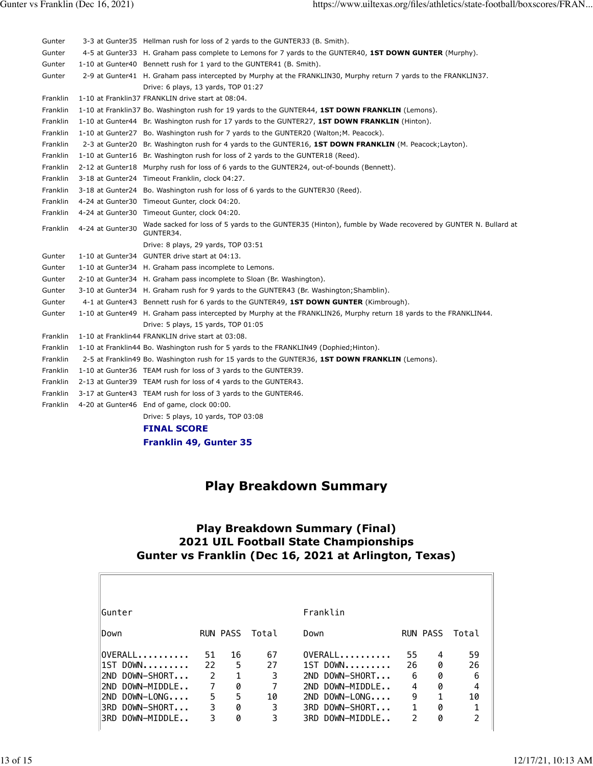| Gunter   |                  | 3-3 at Gunter35 Hellman rush for loss of 2 yards to the GUNTER33 (B. Smith).                                            |
|----------|------------------|-------------------------------------------------------------------------------------------------------------------------|
| Gunter   |                  | 4-5 at Gunter 33 H. Graham pass complete to Lemons for 7 yards to the GUNTER40, 1ST DOWN GUNTER (Murphy).               |
| Gunter   |                  | 1-10 at Gunter40 Bennett rush for 1 yard to the GUNTER41 (B. Smith).                                                    |
| Gunter   |                  | 2-9 at Gunter41 H. Graham pass intercepted by Murphy at the FRANKLIN30, Murphy return 7 yards to the FRANKLIN37.        |
|          |                  | Drive: 6 plays, 13 yards, TOP 01:27                                                                                     |
| Franklin |                  | 1-10 at Franklin37 FRANKLIN drive start at 08:04.                                                                       |
| Franklin |                  | 1-10 at Franklin37 Bo. Washington rush for 19 yards to the GUNTER44, 1ST DOWN FRANKLIN (Lemons).                        |
| Franklin |                  | 1-10 at Gunter44 Br. Washington rush for 17 yards to the GUNTER27, 1ST DOWN FRANKLIN (Hinton).                          |
| Franklin |                  | 1-10 at Gunter27 Bo. Washington rush for 7 yards to the GUNTER20 (Walton; M. Peacock).                                  |
| Franklin |                  | 2-3 at Gunter20 Br. Washington rush for 4 yards to the GUNTER16, 1ST DOWN FRANKLIN (M. Peacock; Layton).                |
| Franklin |                  | 1-10 at Gunter16 Br. Washington rush for loss of 2 yards to the GUNTER18 (Reed).                                        |
| Franklin |                  | 2-12 at Gunter18 Murphy rush for loss of 6 yards to the GUNTER24, out-of-bounds (Bennett).                              |
| Franklin |                  | 3-18 at Gunter24 Timeout Franklin, clock 04:27.                                                                         |
| Franklin |                  | 3-18 at Gunter24 Bo. Washington rush for loss of 6 yards to the GUNTER30 (Reed).                                        |
| Franklin |                  | 4-24 at Gunter30 Timeout Gunter, clock 04:20.                                                                           |
| Franklin |                  | 4-24 at Gunter30 Timeout Gunter, clock 04:20.                                                                           |
| Franklin | 4-24 at Gunter30 | Wade sacked for loss of 5 yards to the GUNTER35 (Hinton), fumble by Wade recovered by GUNTER N. Bullard at<br>GUNTER34. |
|          |                  | Drive: 8 plays, 29 yards, TOP 03:51                                                                                     |
| Gunter   |                  | 1-10 at Gunter34 GUNTER drive start at 04:13.                                                                           |
| Gunter   |                  | 1-10 at Gunter34 H. Graham pass incomplete to Lemons.                                                                   |
| Gunter   |                  | 2-10 at Gunter34 H. Graham pass incomplete to Sloan (Br. Washington).                                                   |
| Gunter   |                  | 3-10 at Gunter 34 H. Graham rush for 9 yards to the GUNTER43 (Br. Washington; Shamblin).                                |
| Gunter   |                  | 4-1 at Gunter43 Bennett rush for 6 yards to the GUNTER49, 1ST DOWN GUNTER (Kimbrough).                                  |
| Gunter   |                  | 1-10 at Gunter49 H. Graham pass intercepted by Murphy at the FRANKLIN26, Murphy return 18 yards to the FRANKLIN44.      |
|          |                  | Drive: 5 plays, 15 yards, TOP 01:05                                                                                     |
| Franklin |                  | 1-10 at Franklin44 FRANKLIN drive start at 03:08.                                                                       |
| Franklin |                  | 1-10 at Franklin44 Bo. Washington rush for 5 yards to the FRANKLIN49 (Dophied; Hinton).                                 |
| Franklin |                  | 2-5 at Franklin49 Bo. Washington rush for 15 yards to the GUNTER36, <b>1ST DOWN FRANKLIN</b> (Lemons).                  |
| Franklin |                  | 1-10 at Gunter36 TEAM rush for loss of 3 yards to the GUNTER39.                                                         |
| Franklin |                  | 2-13 at Gunter39 TEAM rush for loss of 4 yards to the GUNTER43.                                                         |
| Franklin |                  | 3-17 at Gunter43 TEAM rush for loss of 3 yards to the GUNTER46.                                                         |
| Franklin |                  | 4-20 at Gunter46 End of game, clock 00:00.                                                                              |
|          |                  | Drive: 5 plays, 10 yards, TOP 03:08                                                                                     |
|          |                  | <b>FINAL SCORE</b>                                                                                                      |
|          |                  | <b>Franklin 49, Gunter 35</b>                                                                                           |

## **Play Breakdown Summary**

#### **Play Breakdown Summary (Final) 2021 UIL Football State Championships Gunter vs Franklin (Dec 16, 2021 at Arlington, Texas)**

| Gunter               |               |    |                | Franklin             |              |                 |       |
|----------------------|---------------|----|----------------|----------------------|--------------|-----------------|-------|
| lDown                |               |    | RUN PASS Total | Down                 |              | <b>RUN PASS</b> | Total |
| OVERALL              | 51            | 16 | 67             | $OVERALL$ ,,,,,,,,,, | 55           | 4               | 59    |
| 1ST DOWN             | 22            | 5  | 27             | $1ST$ DOWN           | 26           | 0               | 26    |
| DOWN-SHORT<br>I2ND.  | $\mathcal{P}$ | 1  | 3              | DOWN-SHORT<br>2ND.   | 6            | 0               | 6     |
| DOWN-MIDDLE<br>I2ND. | 7             | 0  |                | DOWN-MIDDLE<br>2ND.  | 4            | 0               | 4     |
| $DOWN-LONG$<br>I2ND. | 5             | 5  | 10             | $DOWN-LONG$<br>2ND.  | 9            | $\mathbf{1}$    | 10    |
| DOWN-SHORT<br>l3RD.  | 3             | 0  | 3              | 3RD DOWN-SHORT       | $\mathbf{1}$ | 0               | 1     |
| DOWN-MIDDLE<br>I3RD. | 3             | 0  | 3              | DOWN-MIDDLE<br>3RD.  | 2            | 0               | C.    |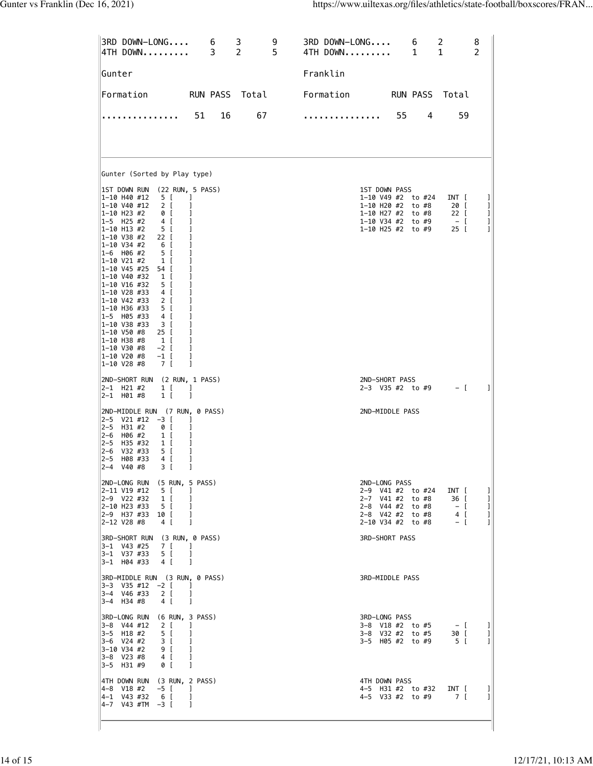| 3RD DOWN-LONG 6 3<br> 4TH DOWN 3 2                                                                                                                                                                                                                                                                                                                                                                                                                                                                                                                                                                                                                                               | 9<br>$\overline{2}$<br>5 <sup>1</sup> | 3RD DOWN-LONG<br>4TH DOWN | $6\overline{6}$<br>$\mathbf{1}$                                                                                        | 2<br>$\mathbf{1}$                                 | 8<br>$\overline{2}$     |
|----------------------------------------------------------------------------------------------------------------------------------------------------------------------------------------------------------------------------------------------------------------------------------------------------------------------------------------------------------------------------------------------------------------------------------------------------------------------------------------------------------------------------------------------------------------------------------------------------------------------------------------------------------------------------------|---------------------------------------|---------------------------|------------------------------------------------------------------------------------------------------------------------|---------------------------------------------------|-------------------------|
| ∣Gunter                                                                                                                                                                                                                                                                                                                                                                                                                                                                                                                                                                                                                                                                          |                                       | Franklin                  |                                                                                                                        |                                                   |                         |
| Formation RUN PASS Total                                                                                                                                                                                                                                                                                                                                                                                                                                                                                                                                                                                                                                                         |                                       | Formation                 | RUN PASS Total                                                                                                         |                                                   |                         |
| 51<br>.                                                                                                                                                                                                                                                                                                                                                                                                                                                                                                                                                                                                                                                                          | 16<br>67                              | .                         | 55<br>4                                                                                                                | 59                                                |                         |
| Gunter (Sorted by Play type)                                                                                                                                                                                                                                                                                                                                                                                                                                                                                                                                                                                                                                                     |                                       |                           |                                                                                                                        |                                                   |                         |
| IST DOWN RUN (22 RUN, 5 PASS)<br>5 [<br>1-10 H40 #12<br>1<br>1-10 V40 #12<br>2 <sub>1</sub><br>1<br>1-10 H23 #2<br>0 [<br>1<br>$1-5$ H25 #2<br>4 [<br>1<br>5 [<br>l1-10 H13 #2<br> 1-10 V38 #2<br>22 I<br>1-10 V34 #2<br>6 [<br>$1 - 6$ H06 #2<br>5 [<br> 1-10 V21 #2<br>1<br>1 [<br> 1-10 V45 #25 54 [<br>1<br> 1-10 V40 #32<br>$\begin{array}{cc} 1 \end{array}$<br>1-10 V16 #32<br>5 [<br>1<br>$1 - 10$ V28 #33 4 [<br>1<br>1-10 V42 #33 2 [<br>1<br> 1-10 H36 #33<br>5 [<br>1<br>1-5 H05 #33<br>4 [<br> 1-10 V38 #33    3  [<br>1-10 V50 #8<br>25 [<br>1<br>1-10 H38 #8<br>$1\vert$<br>1-10 V30 #8<br>$-2$ [<br>1<br> 1-10 V20 #8<br>$-1$ [<br>1<br> 1-10 V28 #8<br>7 [<br>1 |                                       | 1ST DOWN PASS             | 1-10 V49 #2 to #24<br>1-10 H20 #2 to #8<br>1-10 H27 #2 to #8<br>1-10 V34 #2 to #9<br>1-10 H25 #2 to #9                 | INT [<br>20 [<br>22 [<br>$-$ [<br>$25$ $\sqrt{ }$ | 1<br>1<br>1<br>1<br>1   |
| 2ND-SHORT RUN (2 RUN, 1 PASS)<br>2-1 H21 #2<br>1 [<br>T<br>2-1 H01#8<br>1 [<br>1                                                                                                                                                                                                                                                                                                                                                                                                                                                                                                                                                                                                 |                                       | 2ND-SHORT PASS            | $2-3$ V35 #2 to #9                                                                                                     | $-$ [                                             | 1                       |
| 2ND-MIDDLE RUN (7 RUN, 0 PASS)<br> 2−5 V21 #12 −3 [<br>1<br>2-5 H31 #2<br>0 [<br>1<br>2-6 H06#2<br>1 [<br>1<br>2-5 H35 #32<br>$1\left[$<br>2-6 V32 #33<br>5 [<br>2-5 H08 #33<br>4 [<br>1<br>$ 2 - 4 $<br>V40 #8<br>3 [<br>1                                                                                                                                                                                                                                                                                                                                                                                                                                                      |                                       | 2ND-MIDDLE PASS           |                                                                                                                        |                                                   |                         |
| 2ND-LONG RUN (5 RUN, 5 PASS)<br>2-11 V19 #12 5 [<br>-1<br>2-9 V22 #32 1 [<br>1<br>2-10 H23 #33 5 [<br>1<br>2-9 H37 #33 10 [<br>1<br>2-12 V28 #8 4 [<br>1                                                                                                                                                                                                                                                                                                                                                                                                                                                                                                                         |                                       | 2ND-LONG PASS             | 2-9 V41 #2 to #24 INT [<br>2-7 V41 #2 to #8<br>2-8 V44 #2 to #8 - [<br>2-8 V42 #2 to #8 4 [<br>$2-10$ V34 #2 to #8 - [ | 36 [                                              | 1<br>-1<br>-1<br>1<br>1 |
| 3RD-SHORT RUN (3 RUN, 0 PASS)<br>3-1 V43 #25 7 [<br>$\Box$<br>3-1 V37 #33 5 [<br>1<br>3-1 H04 #33 4 [<br>1                                                                                                                                                                                                                                                                                                                                                                                                                                                                                                                                                                       |                                       | 3RD-SHORT PASS            |                                                                                                                        |                                                   |                         |
| 3RD-MIDDLE RUN (3 RUN, 0 PASS)<br> 3−3 V35 #12 −2 [<br>$\overline{\phantom{a}}$<br>3-4 V46 #33 2 [<br>-1<br>3-4 H34 #8<br>4 [<br>-1                                                                                                                                                                                                                                                                                                                                                                                                                                                                                                                                              |                                       | 3RD-MIDDLE PASS           |                                                                                                                        |                                                   |                         |
| 3RD-LONG RUN (6 RUN, 3 PASS)<br> 3-8 V44 #12 2 [<br>1<br>$3-5$ H18 #2 5 [<br>1<br>$\frac{1}{2}$<br>$3 \quad$ [<br>3-6 V24 #2<br>3-10 V34 #2<br>9 <sub>1</sub><br>$4 \left[$<br>3-8 V23 #8<br>$0$ [<br>3-5 H31 #9<br>1                                                                                                                                                                                                                                                                                                                                                                                                                                                            |                                       | 3RD-LONG PASS             | 3-8 V18 #2 to #5 $-$ [<br>3-8 V32 #2 to #5 30 [<br>3-5 H05 #2 to #9 5 [                                                |                                                   | 1<br>1<br>1             |
| 4TH DOWN RUN (3 RUN, 2 PASS)<br> 4-8 V18 #2 -5 [<br>$\overline{\phantom{a}}$<br>4-1 V43 #32 6 [<br>-1<br>$ 4-7$ V43 #TM $-3$ [<br>1                                                                                                                                                                                                                                                                                                                                                                                                                                                                                                                                              |                                       | 4TH DOWN PASS             | 4-5 H31 #2 to #32 INT [<br>4-5 V33 #2 to #9 7 [                                                                        |                                                   | 1<br>-1                 |

ľ